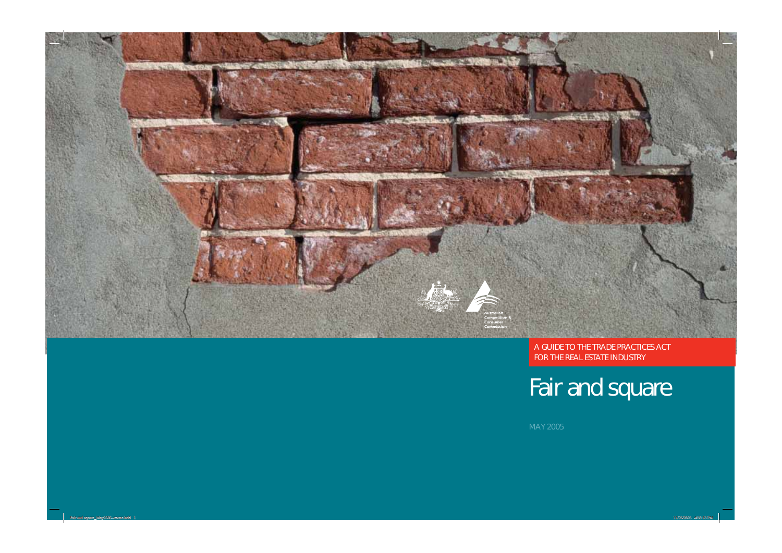

A GUIDE TO THE TRADE PRACTICES ACT FOR THE REAL ESTATE INDUSTRY

# Fair and square

MAY 2005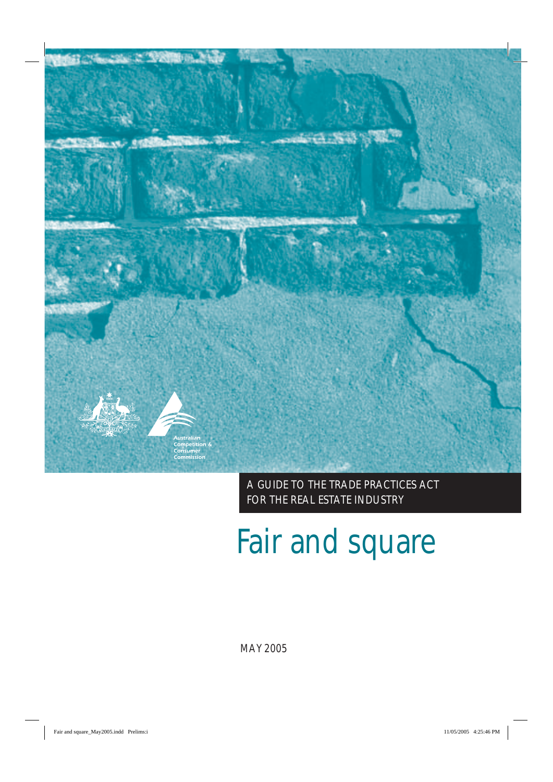

A GUIDE TO THE TRADE PRACTICES ACT FOR THE REAL ESTATE INDUSTRY

# Fair and square

MAY 2005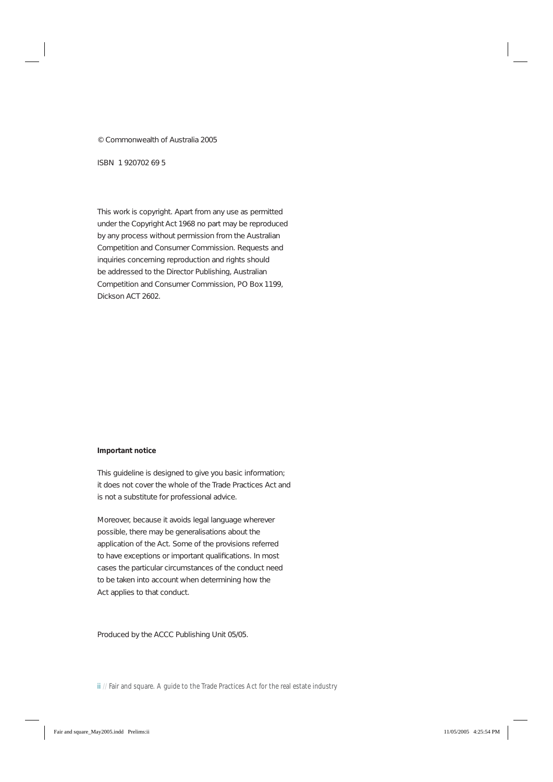© Commonwealth of Australia 2005

ISBN 1 920702 69 5

This work is copyright. Apart from any use as permitted under the *Copyright Act 1968* no part may be reproduced by any process without permission from the Australian Competition and Consumer Commission. Requests and inquiries concerning reproduction and rights should be addressed to the Director Publishing, Australian Competition and Consumer Commission, PO Box 1199, Dickson ACT 2602.

#### **Important notice**

This guideline is designed to give you basic information; it does not cover the whole of the Trade Practices Act and is not a substitute for professional advice.

Moreover, because it avoids legal language wherever possible, there may be generalisations about the application of the Act. Some of the provisions referred to have exceptions or important qualifications. In most cases the particular circumstances of the conduct need to be taken into account when determining how the Act applies to that conduct.

Produced by the ACCC Publishing Unit 05/05.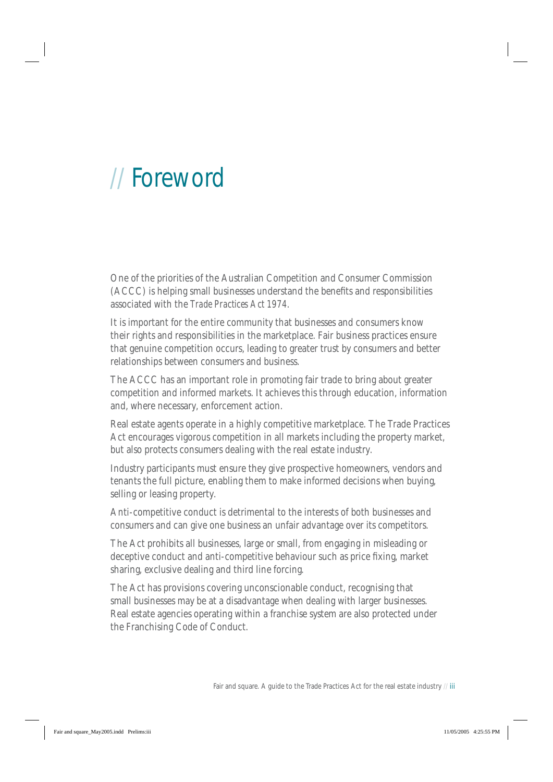## // Foreword

One of the priorities of the Australian Competition and Consumer Commission (ACCC) is helping small businesses understand the benefits and responsibilities associated with the *Trade Practices Act 1974*.

It is important for the entire community that businesses and consumers know their rights and responsibilities in the marketplace. Fair business practices ensure that genuine competition occurs, leading to greater trust by consumers and better relationships between consumers and business.

The ACCC has an important role in promoting fair trade to bring about greater competition and informed markets. It achieves this through education, information and, where necessary, enforcement action.

Real estate agents operate in a highly competitive marketplace. The Trade Practices Act encourages vigorous competition in all markets including the property market, but also protects consumers dealing with the real estate industry.

Industry participants must ensure they give prospective homeowners, vendors and tenants the full picture, enabling them to make informed decisions when buying, selling or leasing property.

Anti-competitive conduct is detrimental to the interests of both businesses and consumers and can give one business an unfair advantage over its competitors.

The Act prohibits all businesses, large or small, from engaging in misleading or deceptive conduct and anti-competitive behaviour such as price fixing, market sharing, exclusive dealing and third line forcing.

The Act has provisions covering unconscionable conduct, recognising that small businesses may be at a disadvantage when dealing with larger businesses. Real estate agencies operating within a franchise system are also protected under the Franchising Code of Conduct.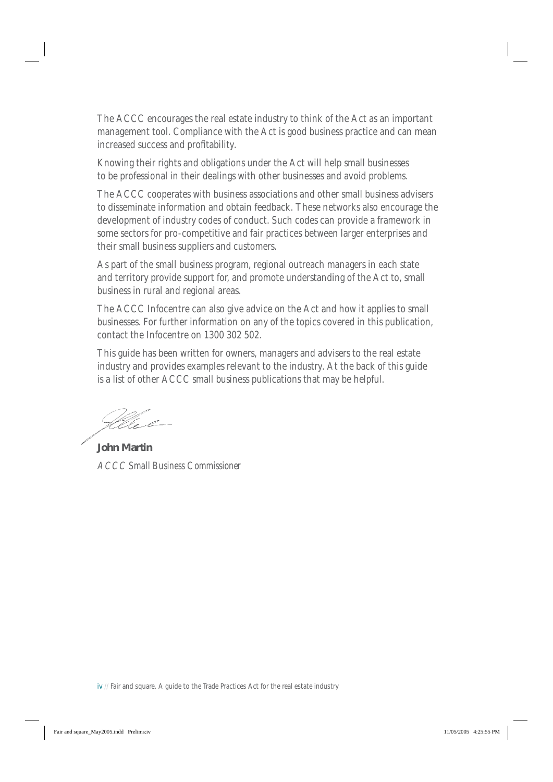The ACCC encourages the real estate industry to think of the Act as an important management tool. Compliance with the Act is good business practice and can mean increased success and profitability.

Knowing their rights and obligations under the Act will help small businesses to be professional in their dealings with other businesses and avoid problems.

The ACCC cooperates with business associations and other small business advisers to disseminate information and obtain feedback. These networks also encourage the development of industry codes of conduct. Such codes can provide a framework in some sectors for pro-competitive and fair practices between larger enterprises and their small business suppliers and customers.

As part of the small business program, regional outreach managers in each state and territory provide support for, and promote understanding of the Act to, small business in rural and regional areas.

The ACCC Infocentre can also give advice on the Act and how it applies to small businesses. For further information on any of the topics covered in this publication, contact the Infocentre on 1300 302 502.

This guide has been written for owners, managers and advisers to the real estate industry and provides examples relevant to the industry. At the back of this guide is a list of other ACCC small business publications that may be helpful.

**John Martin** *ACCC Small Business Commissioner*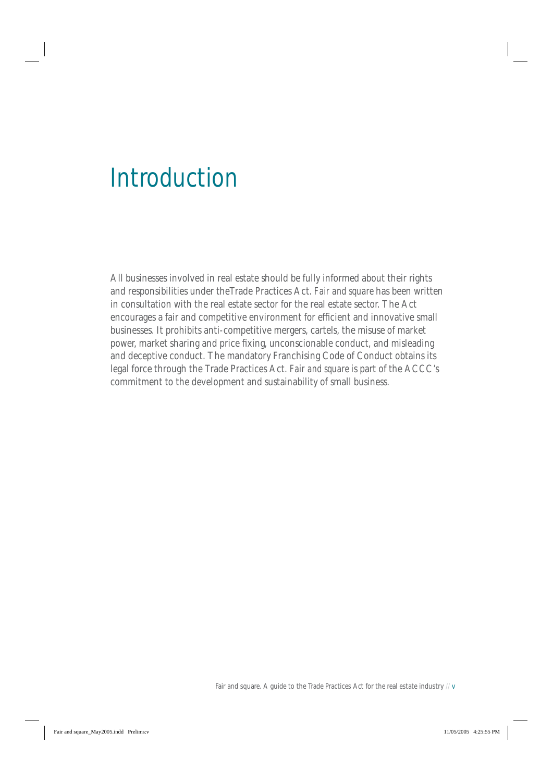## Introduction

All businesses involved in real estate should be fully informed about their rights and responsibilities under theTrade Practices Act. *Fair and square* has been written in consultation with the real estate sector for the real estate sector. The Act encourages a fair and competitive environment for efficient and innovative small businesses. It prohibits anti-competitive mergers, cartels, the misuse of market power, market sharing and price fixing, unconscionable conduct, and misleading and deceptive conduct. The mandatory Franchising Code of Conduct obtains its legal force through the Trade Practices Act. *Fair and square* is part of the ACCC's commitment to the development and sustainability of small business.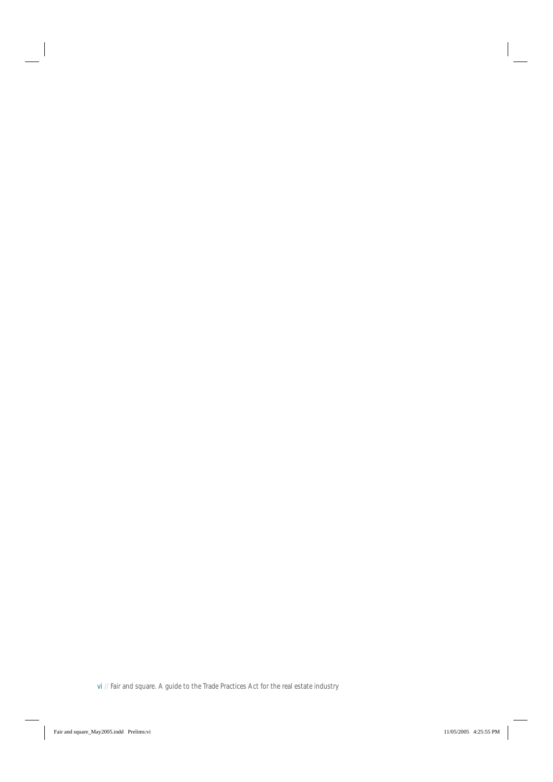vi // Fair and square. A guide to the Trade Practices Act for the real estate industry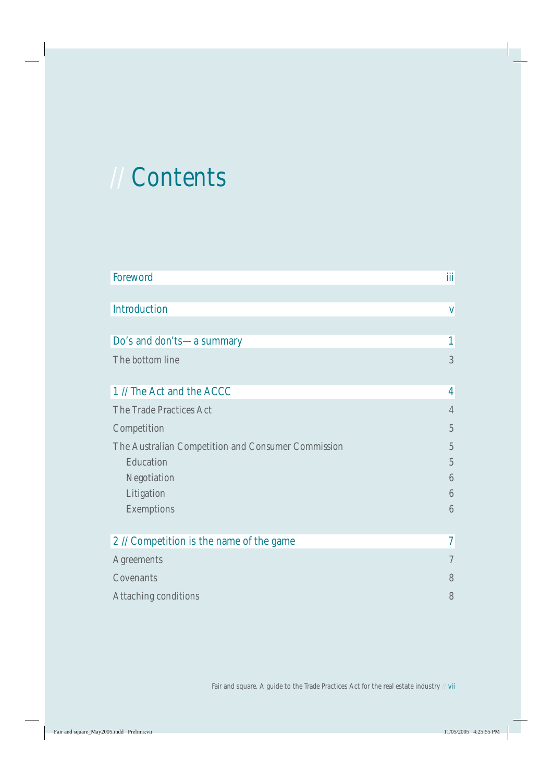## // Contents

| Foreword                                           | iii            |
|----------------------------------------------------|----------------|
|                                                    |                |
| Introduction                                       | V              |
|                                                    |                |
| Do's and don'ts-a summary                          | 1              |
| The bottom line                                    | 3              |
|                                                    |                |
| 1 // The Act and the ACCC                          | $\overline{4}$ |
| The Trade Practices Act                            | $\overline{4}$ |
| Competition                                        | 5              |
| The Australian Competition and Consumer Commission | 5              |
| Education                                          | 5              |
| Negotiation                                        | 6              |
| Litigation                                         | 6              |
| Exemptions                                         | 6              |
|                                                    |                |
| 2 // Competition is the name of the game           | 7              |
| Agreements                                         | 7              |
| Covenants                                          | 8              |
| Attaching conditions                               | 8              |
|                                                    |                |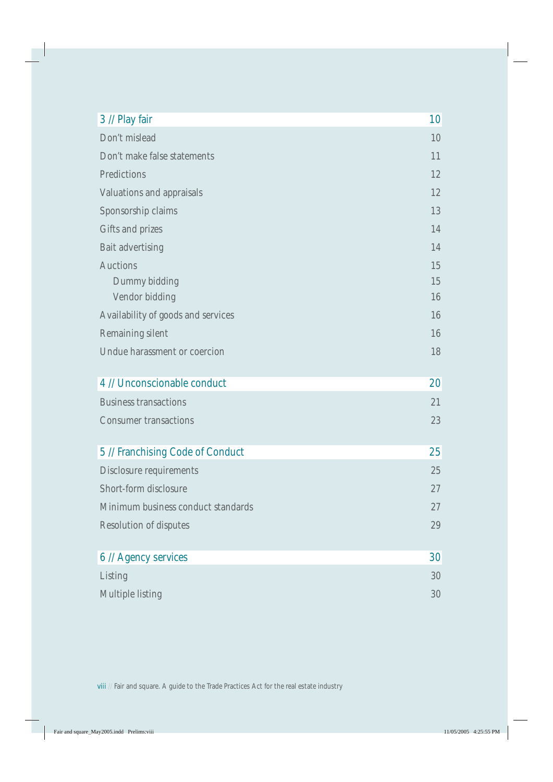| 3 // Play fair                     | 10 <sup>1</sup> |
|------------------------------------|-----------------|
| Don't mislead                      | 10              |
| Don't make false statements        | 11              |
| Predictions                        | 12              |
| Valuations and appraisals          | 12              |
| Sponsorship claims                 | 13              |
| Gifts and prizes                   | 14              |
| Bait advertising                   | 14              |
| <b>Auctions</b>                    | 15              |
| Dummy bidding                      | 15              |
| Vendor bidding                     | 16              |
| Availability of goods and services | 16              |
| Remaining silent                   | 16              |
| Undue harassment or coercion       | 18              |
| 4 // Unconscionable conduct        |                 |
|                                    | 20              |
| <b>Business transactions</b>       | 21              |
| <b>Consumer transactions</b>       | 23              |
| 5 // Franchising Code of Conduct   | 25              |
| <b>Disclosure requirements</b>     | 25              |
| Short-form disclosure              | 27              |
| Minimum business conduct standards | 27              |
| Resolution of disputes             | 29              |
|                                    |                 |
| 6 // Agency services               | 30              |
| Listing                            | 30              |
| Multiple listing                   | 30              |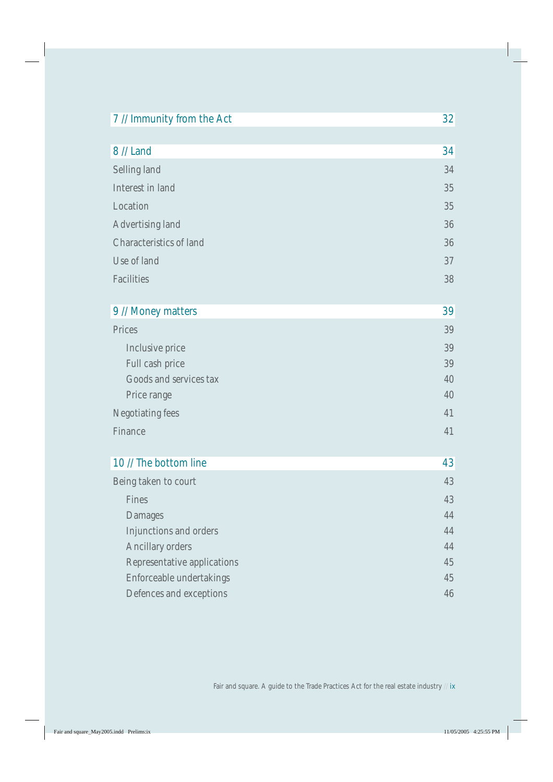| 7 // Immunity from the Act     | 32 |
|--------------------------------|----|
|                                |    |
| 8 // Land                      | 34 |
| Selling land                   | 34 |
| Interest in land               | 35 |
| Location                       | 35 |
| Advertising land               | 36 |
| <b>Characteristics of land</b> | 36 |
| Use of land                    | 37 |
| Facilities                     | 38 |
|                                |    |
| 9 // Money matters             | 39 |
| Prices                         | 39 |
| Inclusive price                | 39 |
| Full cash price                | 39 |
| Goods and services tax         | 40 |
| Price range                    | 40 |
| Negotiating fees               | 41 |
| Finance                        | 41 |
| 10 // The bottom line          | 43 |
| Being taken to court           | 43 |
| Fines                          | 43 |
| Damages                        | 44 |
| Injunctions and orders         | 44 |
| Ancillary orders               | 44 |
| Representative applications    | 45 |
| Enforceable undertakings       | 45 |
| Defences and exceptions        | 46 |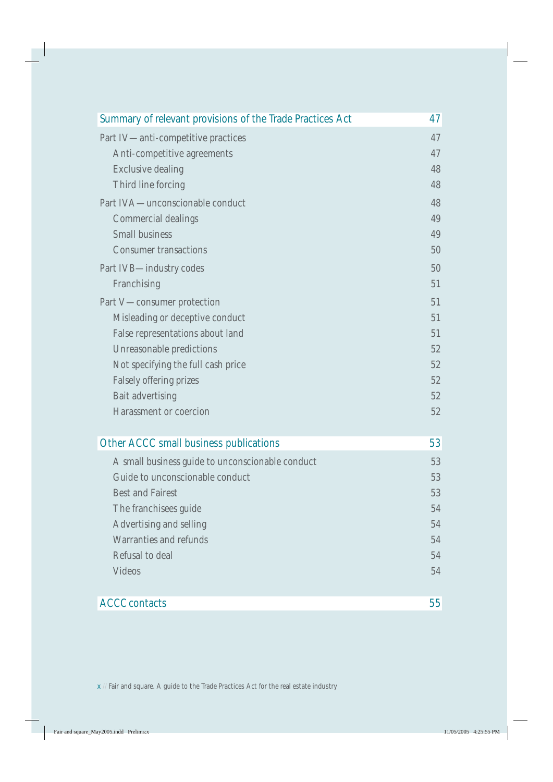| Summary of relevant provisions of the Trade Practices Act | 47 |
|-----------------------------------------------------------|----|
| Part IV-anti-competitive practices                        | 47 |
| Anti-competitive agreements                               | 47 |
| <b>Exclusive dealing</b>                                  | 48 |
| Third line forcing                                        | 48 |
| Part IVA-unconscionable conduct                           | 48 |
| Commercial dealings                                       | 49 |
| <b>Small business</b>                                     | 49 |
| <b>Consumer transactions</b>                              | 50 |
| Part IVB-industry codes                                   | 50 |
| Franchising                                               | 51 |
| Part V-consumer protection                                | 51 |
| Misleading or deceptive conduct                           | 51 |
| False representations about land                          | 51 |
| Unreasonable predictions                                  | 52 |
| Not specifying the full cash price                        | 52 |
| Falsely offering prizes                                   | 52 |
| Bait advertising                                          | 52 |
| Harassment or coercion                                    | 52 |
| Other ACCC small business publications                    | 53 |
| A small business guide to unconscionable conduct          | 53 |
| Guide to unconscionable conduct                           | 53 |
| <b>Best and Fairest</b>                                   | 53 |
| The franchisees guide                                     | 54 |
| Advertising and selling                                   | 54 |
| Warranties and refunds                                    | 54 |
| Refusal to deal                                           | 54 |
| <b>Videos</b>                                             | 54 |
| <b>ACCC contacts</b>                                      | 55 |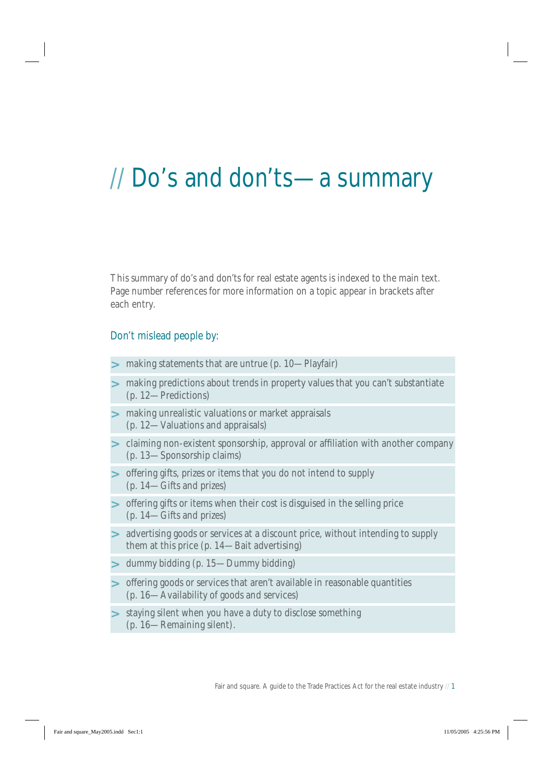## // Do's and don'ts—a summary

This summary of do's and don'ts for real estate agents is indexed to the main text. Page number references for more information on a topic appear in brackets after each entry.

### Don't mislead people by:

- **>** making statements that are untrue (p. 10—Playfair)
- **>** making predictions about trends in property values that you can't substantiate (p. 12—Predictions)
- **>** making unrealistic valuations or market appraisals (p. 12—Valuations and appraisals)
- > claiming non-existent sponsorship, approval or affiliation with another company (p. 13—Sponsorship claims)
- **>** offering gifts, prizes or items that you do not intend to supply (p. 14—Gifts and prizes)
- **>** offering gifts or items when their cost is disguised in the selling price (p. 14—Gifts and prizes)
- **>** advertising goods or services at a discount price, without intending to supply them at this price (p. 14—Bait advertising)
- **>** dummy bidding (p. 15—Dummy bidding)
- **>** offering goods or services that aren't available in reasonable quantities (p. 16—Availability of goods and services)
- **>** staying silent when you have a duty to disclose something (p. 16—Remaining silent).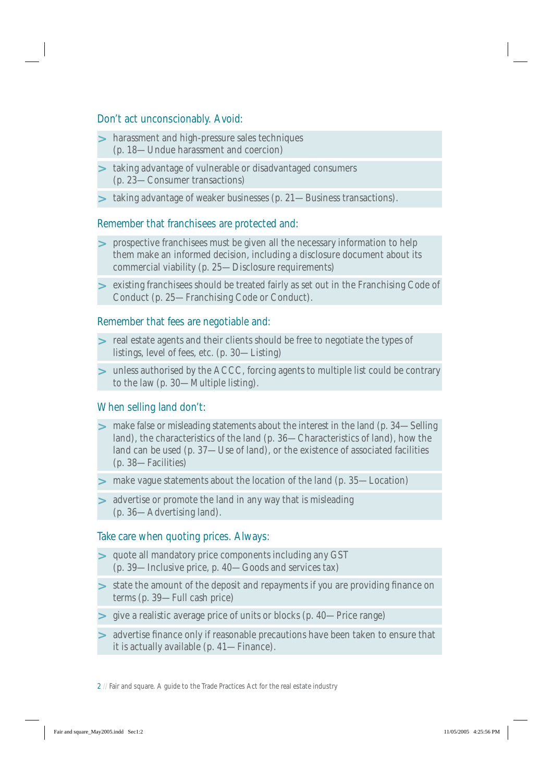### Don't act unconscionably. Avoid:

- **>** harassment and high-pressure sales techniques
	- (p. 18 —Undue harassment and coercion)
- **>** taking advantage of vulnerable or disadvantaged consumers
- (p. 23—Consumer transactions)
- **>** taking advantage of weaker businesses (p. 21—Business transactions).

### Remember that franchisees are protected and:

- **>** prospective franchisees must be given all the necessary information to help them make an informed decision, including a disclosure document about its commercial viability (p. 25—Disclosure requirements)
- **>** existing franchisees should be treated fairly as set out in the Franchising Code of Conduct (p. 25—Franchising Code or Conduct).

### Remember that fees are negotiable and:

- **>** real estate agents and their clients should be free to negotiate the types of listings, level of fees, etc. (p. 30—Listing)
- **>** unless authorised by the ACCC, forcing agents to multiple list could be contrary to the law (p. 30—Multiple listing).

### When selling land don't:

- **>** make false or misleading statements about the interest in the land (p. 34—Selling land), the characteristics of the land (p. 36—Characteristics of land), how the land can be used (p. 37—Use of land), or the existence of associated facilities (p. 38—Facilities)
- **>** make vague statements about the location of the land (p. 35—Location)
- **>** advertise or promote the land in any way that is misleading (p. 36—Advertising land).

### Take care when quoting prices. Always:

- **>** quote all mandatory price components including any GST (p. 39—Inclusive price, p. 40—Goods and services tax)
- $\geq$  state the amount of the deposit and repayments if you are providing finance on terms (p. 39—Full cash price)
- **>** give a realistic average price of units or blocks (p. 40—Price range)
- **>** advertise finance only if reasonable precautions have been taken to ensure that it is actually available (p. 41—Finance).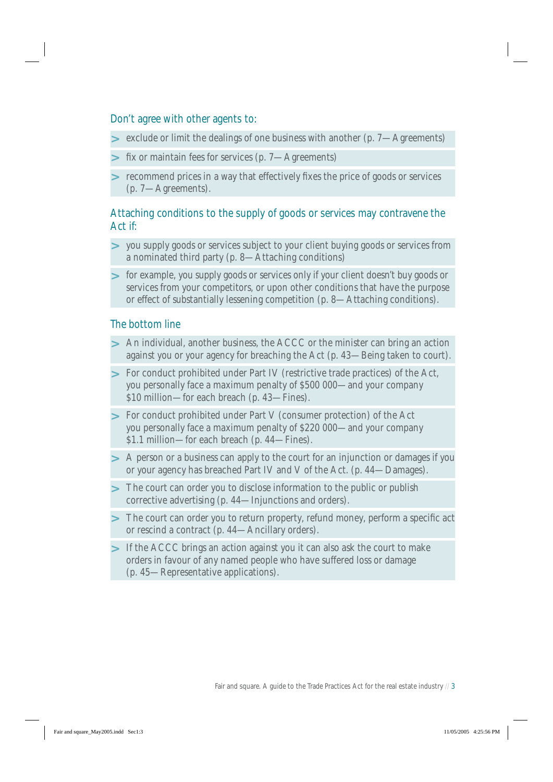### Don't agree with other agents to:

- **>** exclude or limit the dealings of one business with another (p. 7—Agreements)
- > fix or maintain fees for services (p. 7-Agreements)
- **>** recommend prices in a way that effectively fixes the price of goods or services (p. 7—Agreements).

### Attaching conditions to the supply of goods or services may contravene the Act if:

- **>** you supply goods or services subject to your client buying goods or services from a nominated third party (p. 8—Attaching conditions)
- **>** for example, you supply goods or services only if your client doesn't buy goods or services from your competitors, or upon other conditions that have the purpose or effect of substantially lessening competition (p. 8—Attaching conditions).

#### The bottom line

- **>** An individual, another business, the ACCC or the minister can bring an action against you or your agency for breaching the Act (p. 43—Being taken to court).
- **>** For conduct prohibited under Part IV (restrictive trade practices) of the Act, you personally face a maximum penalty of \$500 000—and your company \$10 million—for each breach (p. 43—Fines).
- **>** For conduct prohibited under Part V (consumer protection) of the Act you personally face a maximum penalty of \$220 000—and your company \$1.1 million—for each breach (p. 44—Fines).
- **>** A person or a business can apply to the court for an injunction or damages if you or your agency has breached Part IV and V of the Act. (p. 44—Damages).
- **>** The court can order you to disclose information to the public or publish corrective advertising (p. 44—Injunctions and orders).
- > The court can order you to return property, refund money, perform a specific act or rescind a contract (p. 44—Ancillary orders).
- **>** If the ACCC brings an action against you it can also ask the court to make orders in favour of any named people who have suffered loss or damage (p. 45—Representative applications).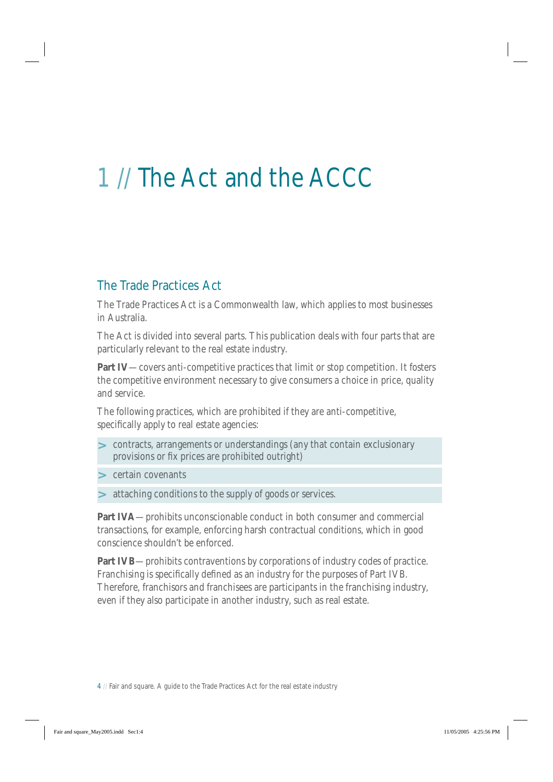## 1 // The Act and the ACCC

## The Trade Practices Act

The Trade Practices Act is a Commonwealth law, which applies to most businesses in Australia.

The Act is divided into several parts. This publication deals with four parts that are particularly relevant to the real estate industry.

**Part IV**—covers anti-competitive practices that limit or stop competition. It fosters the competitive environment necessary to give consumers a choice in price, quality and service.

The following practices, which are prohibited if they are anti-competitive, specifically apply to real estate agencies:

- **>** contracts, arrangements or understandings (any that contain exclusionary provisions or fix prices are prohibited outright)
- **>** certain covenants
- **>** attaching conditions to the supply of goods or services.

**Part IVA**—prohibits unconscionable conduct in both consumer and commercial transactions, for example, enforcing harsh contractual conditions, which in good conscience shouldn't be enforced.

**Part IVB**—prohibits contraventions by corporations of industry codes of practice. Franchising is specifically defined as an industry for the purposes of Part IVB. Therefore, franchisors and franchisees are participants in the franchising industry, even if they also participate in another industry, such as real estate.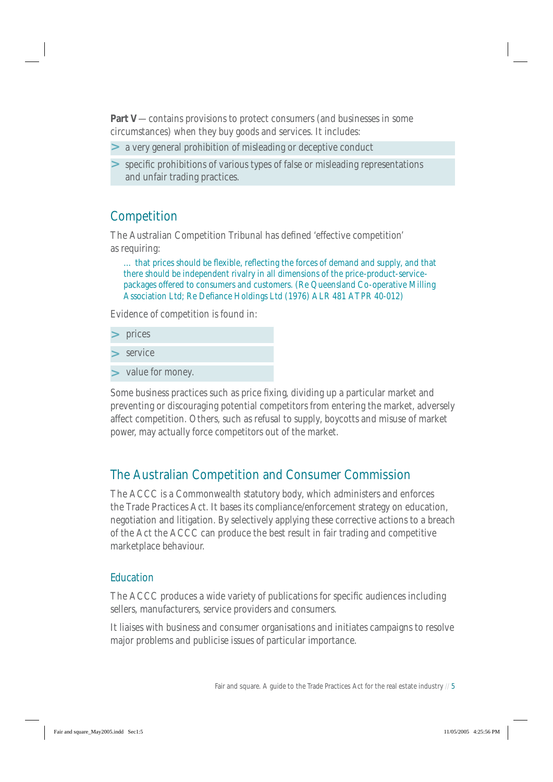**Part V**—contains provisions to protect consumers (and businesses in some circumstances) when they buy goods and services. It includes:

- **>** a very general prohibition of misleading or deceptive conduct
- **>** specific prohibitions of various types of false or misleading representations and unfair trading practices.

## **Competition**

The Australian Competition Tribunal has defined 'effective competition' as requiring:

... that prices should be flexible, reflecting the forces of demand and supply, and that there should be independent rivalry in all dimensions of the price-product-servicepackages offered to consumers and customers. (Re Queensland Co-operative Milling Association Ltd; Re Defiance Holdings Ltd (1976) ALR 481 ATPR 40-012)

Evidence of competition is found in:

- **>** prices
- **>** service
- **>** value for money.

Some business practices such as price fixing, dividing up a particular market and preventing or discouraging potential competitors from entering the market, adversely affect competition. Others, such as refusal to supply, boycotts and misuse of market power, may actually force competitors out of the market.

## The Australian Competition and Consumer Commission

The ACCC is a Commonwealth statutory body, which administers and enforces the Trade Practices Act. It bases its compliance/enforcement strategy on education, negotiation and litigation. By selectively applying these corrective actions to a breach of the Act the ACCC can produce the best result in fair trading and competitive marketplace behaviour.

### **Education**

The ACCC produces a wide variety of publications for specific audiences including sellers, manufacturers, service providers and consumers.

It liaises with business and consumer organisations and initiates campaigns to resolve major problems and publicise issues of particular importance.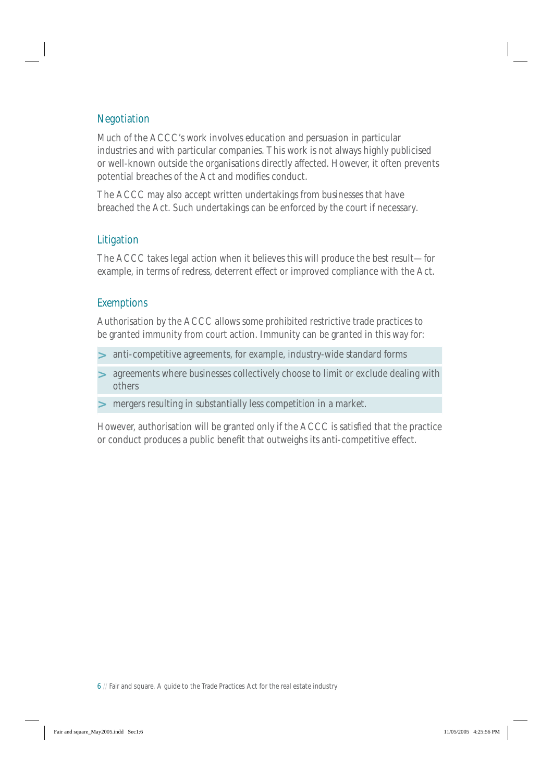### Negotiation

Much of the ACCC's work involves education and persuasion in particular industries and with particular companies. This work is not always highly publicised or well-known outside the organisations directly affected. However, it often prevents potential breaches of the Act and modifies conduct.

The ACCC may also accept written undertakings from businesses that have breached the Act. Such undertakings can be enforced by the court if necessary.

## Litigation

The ACCC takes legal action when it believes this will produce the best result—for example, in terms of redress, deterrent effect or improved compliance with the Act.

### Exemptions

Authorisation by the ACCC allows some prohibited restrictive trade practices to be granted immunity from court action. Immunity can be granted in this way for:

- **>** anti-competitive agreements, for example, industry-wide standard forms
- **>** agreements where businesses collectively choose to limit or exclude dealing with others
- **>** mergers resulting in substantially less competition in a market.

However, authorisation will be granted only if the ACCC is satisfied that the practice or conduct produces a public benefit that outweighs its anti-competitive effect.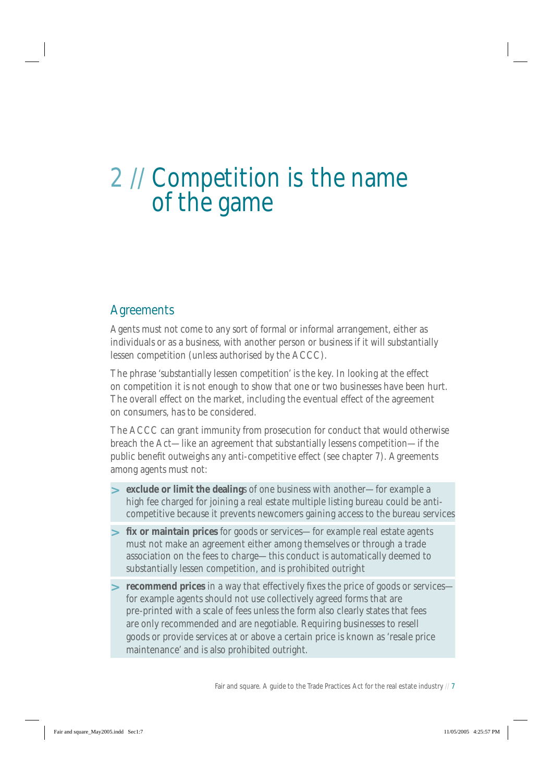## 2 // Competition is the name of the game

## **Agreements**

Agents must not come to any sort of formal or informal arrangement, either as individuals or as a business, with another person or business if it will substantially lessen competition (unless authorised by the ACCC).

The phrase 'substantially lessen competition' is the key. In looking at the effect on competition it is not enough to show that one or two businesses have been hurt. The overall effect on the market, including the eventual effect of the agreement on consumers, has to be considered.

The ACCC can grant immunity from prosecution for conduct that would otherwise breach the Act—like an agreement that substantially lessens competition—if the public benefit outweighs any anti-competitive effect (see chapter 7). Agreements among agents must not:

- **> exclude or limit the dealing**s of one business with another—for example a high fee charged for joining a real estate multiple listing bureau could be anticompetitive because it prevents newcomers gaining access to the bureau services
- **> fi x or maintain prices** for goods or services—for example real estate agents must not make an agreement either among themselves or through a trade association on the fees to charge—this conduct is automatically deemed to substantially lessen competition, and is prohibited outright
- **> recommend prices** in a way that effectively fixes the price of goods or services– for example agents should not use collectively agreed forms that are pre-printed with a scale of fees unless the form also clearly states that fees are only recommended and are negotiable. Requiring businesses to resell goods or provide services at or above a certain price is known as 'resale price maintenance' and is also prohibited outright.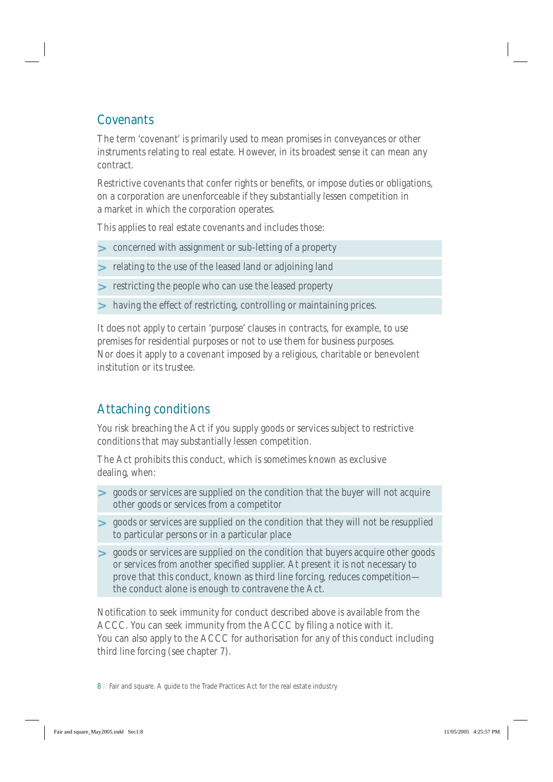## **Covenants**

The term 'covenant' is primarily used to mean promises in conveyances or other instruments relating to real estate. However, in its broadest sense it can mean any contract.

Restrictive covenants that confer rights or benefits, or impose duties or obligations, on a corporation are unenforceable if they substantially lessen competition in a market in which the corporation operates.

This applies to real estate covenants and includes those:

- **>** concerned with assignment or sub-letting of a property
- **>** relating to the use of the leased land or adjoining land
- **>** restricting the people who can use the leased property
- **>** having the effect of restricting, controlling or maintaining prices.

It does not apply to certain 'purpose' clauses in contracts, for example, to use premises for residential purposes or not to use them for business purposes. Nor does it apply to a covenant imposed by a religious, charitable or benevolent institution or its trustee.

## Attaching conditions

You risk breaching the Act if you supply goods or services subject to restrictive conditions that may substantially lessen competition.

The Act prohibits this conduct, which is sometimes known as exclusive dealing, when:

- **>** goods or services are supplied on the condition that the buyer will not acquire other goods or services from a competitor
- **>** goods or services are supplied on the condition that they will not be resupplied to particular persons or in a particular place
- **>** goods or services are supplied on the condition that buyers acquire other goods or services from another specified supplier. At present it is not necessary to prove that this conduct, known as third line forcing, reduces competition the conduct alone is enough to contravene the Act.

Notification to seek immunity for conduct described above is available from the ACCC. You can seek immunity from the ACCC by filing a notice with it. You can also apply to the ACCC for authorisation for any of this conduct including third line forcing (see chapter 7).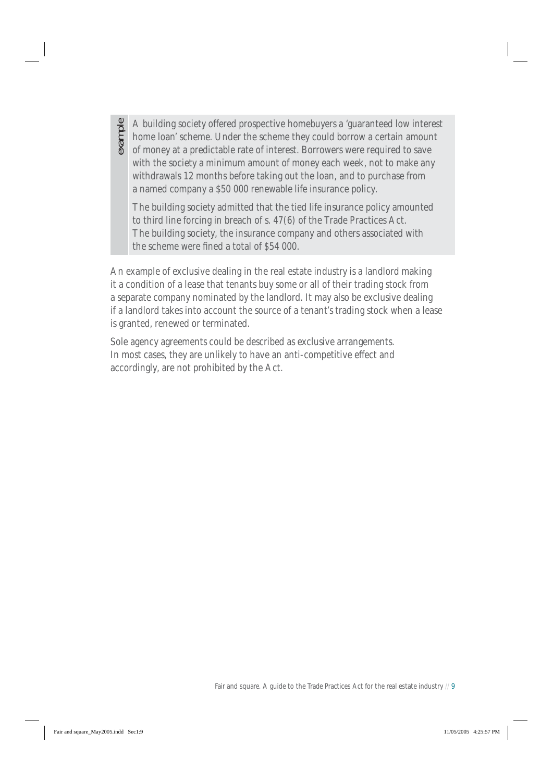A building society offered prospective homebuyers a 'guaranteed low interest<br>home loan' scheme. Under the scheme they could borrow a certain amount<br>of money at a predictable rate of interest. Borrowers were required to sa home loan' scheme. Under the scheme they could borrow a certain amount of money at a predictable rate of interest. Borrowers were required to save with the society a minimum amount of money each week, not to make any withdrawals 12 months before taking out the loan, and to purchase from a named company a \$50 000 renewable life insurance policy.

The building society admitted that the tied life insurance policy amounted to third line forcing in breach of s. 47(6) of the Trade Practices Act. The building society, the insurance company and others associated with the scheme were fined a total of \$54 000.

An example of exclusive dealing in the real estate industry is a landlord making it a condition of a lease that tenants buy some or all of their trading stock from a separate company nominated by the landlord. It may also be exclusive dealing if a landlord takes into account the source of a tenant's trading stock when a lease is granted, renewed or terminated.

Sole agency agreements could be described as exclusive arrangements. In most cases, they are unlikely to have an anti-competitive effect and accordingly, are not prohibited by the Act.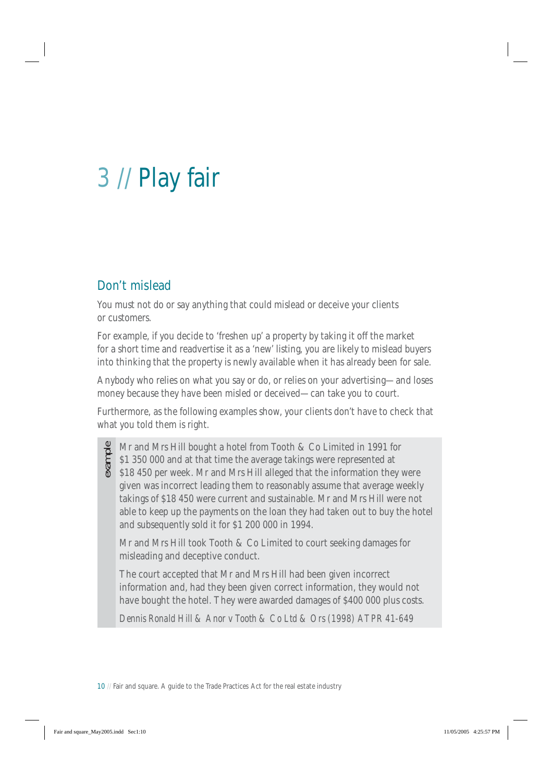## 3 // Play fair

## Don't mislead

You must not do or say anything that could mislead or deceive your clients or customers.

For example, if you decide to 'freshen up' a property by taking it off the market for a short time and readvertise it as a 'new' listing, you are likely to mislead buyers into thinking that the property is newly available when it has already been for sale.

Anybody who relies on what you say or do, or relies on your advertising—and loses money because they have been misled or deceived—can take you to court.

Furthermore, as the following examples show, your clients don't have to check that what you told them is right.

- 
- \$1 350 000 and at that time the average takings were represented at
- EXample Mr and Mrs Hill bought a hotel from Tooth & Co Limited in 1991 for<br>  $\frac{2}{5}$  \$1 350 000 and at that time the average takings were represented at<br>  $\frac{2}{5}$  \$18 450 per week. Mr and Mrs Hill alleged that the infor \$18 450 per week. Mr and Mrs Hill alleged that the information they were given was incorrect leading them to reasonably assume that average weekly takings of \$18 450 were current and sustainable. Mr and Mrs Hill were not able to keep up the payments on the loan they had taken out to buy the hotel and subsequently sold it for \$1 200 000 in 1994.

Mr and Mrs Hill took Tooth & Co Limited to court seeking damages for misleading and deceptive conduct.

The court accepted that Mr and Mrs Hill had been given incorrect information and, had they been given correct information, they would not have bought the hotel. They were awarded damages of \$400 000 plus costs.

*Dennis Ronald Hill & Anor v Tooth & Co Ltd & Ors (1998) ATPR 41-649*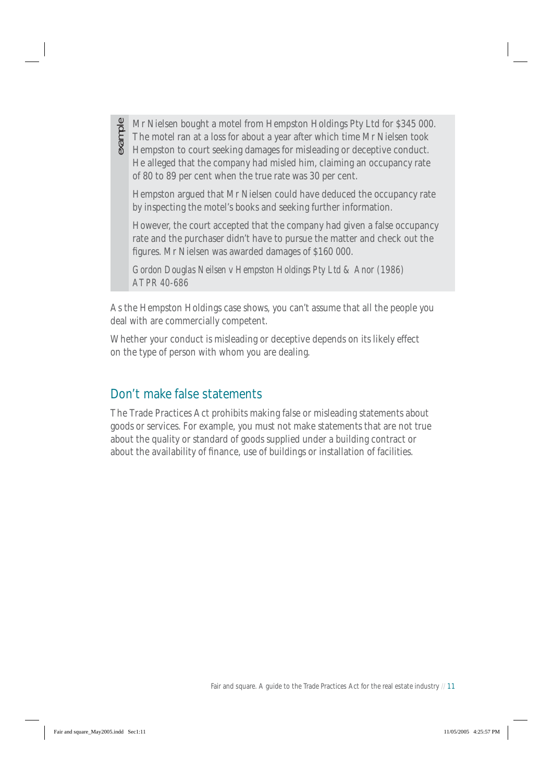$\frac{28}{65}$  Mr Nielsen bought a motel from Hempston Holdings Pty Ltd for \$345 000.<br>The motel ran at a loss for about a year after which time Mr Nielsen took<br>Hempston to court seeking damages for misleading or deceptive co The motel ran at a loss for about a year after which time Mr Nielsen took

He alleged that the company had misled him, claiming an occupancy rate of 80 to 89 per cent when the true rate was 30 per cent.

Hempston argued that Mr Nielsen could have deduced the occupancy rate by inspecting the motel's books and seeking further information.

However, the court accepted that the company had given a false occupancy rate and the purchaser didn't have to pursue the matter and check out the figures. Mr Nielsen was awarded damages of \$160 000.

*Gordon Douglas Neilsen v Hempston Holdings Pty Ltd & Anor (1986) ATPR 40-686*

As the Hempston Holdings case shows, you can't assume that all the people you deal with are commercially competent.

Whether your conduct is misleading or deceptive depends on its likely effect on the type of person with whom you are dealing.

## Don't make false statements

The Trade Practices Act prohibits making false or misleading statements about goods or services. For example, you must not make statements that are not true about the quality or standard of goods supplied under a building contract or about the availability of finance, use of buildings or installation of facilities.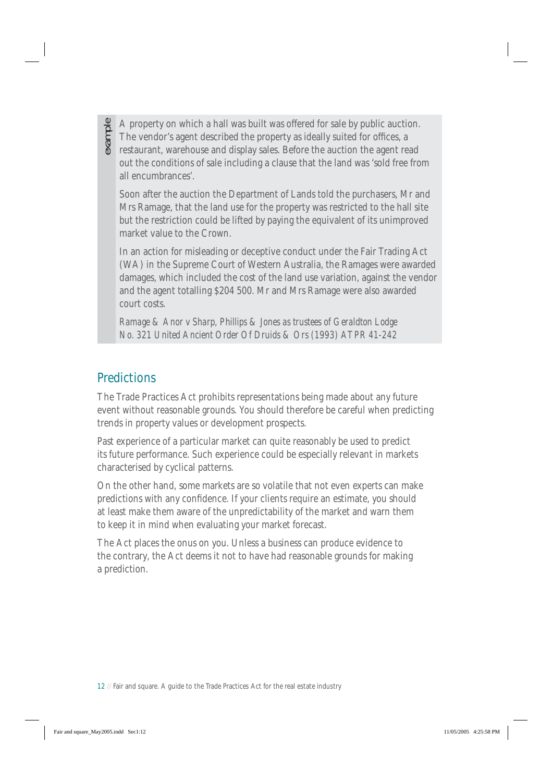The vendor's agent described the property as ideally suited for offices, a

restaurant, warehouse and display sales. Before the auction the agent read out the conditions of sale including a clause that the land was 'sold free from all encumbrances'.

Soon after the auction the Department of Lands told the purchasers, Mr and Mrs Ramage, that the land use for the property was restricted to the hall site but the restriction could be lifted by paying the equivalent of its unimproved market value to the Crown.

42 A property on which a hall was built was offered for sale by public auction.<br>The vendors agent described the property as ideally suited for differe, a costumant, worehouse and display spies. Before the auction the agen In an action for misleading or deceptive conduct under the Fair Trading Act (WA) in the Supreme Court of Western Australia, the Ramages were awarded damages, which included the cost of the land use variation, against the vendor and the agent totalling \$204 500. Mr and Mrs Ramage were also awarded court costs.

*Ramage & Anor v Sharp, Phillips & Jones as trustees of Geraldton Lodge No. 321 United Ancient Order Of Druids & Ors (1993) ATPR 41-242*

## **Predictions**

The Trade Practices Act prohibits representations being made about any future event without reasonable grounds. You should therefore be careful when predicting trends in property values or development prospects.

Past experience of a particular market can quite reasonably be used to predict its future performance. Such experience could be especially relevant in markets characterised by cyclical patterns.

On the other hand, some markets are so volatile that not even experts can make predictions with any confidence. If your clients require an estimate, you should at least make them aware of the unpredictability of the market and warn them to keep it in mind when evaluating your market forecast.

The Act places the onus on you. Unless a business can produce evidence to the contrary, the Act deems it not to have had reasonable grounds for making a prediction.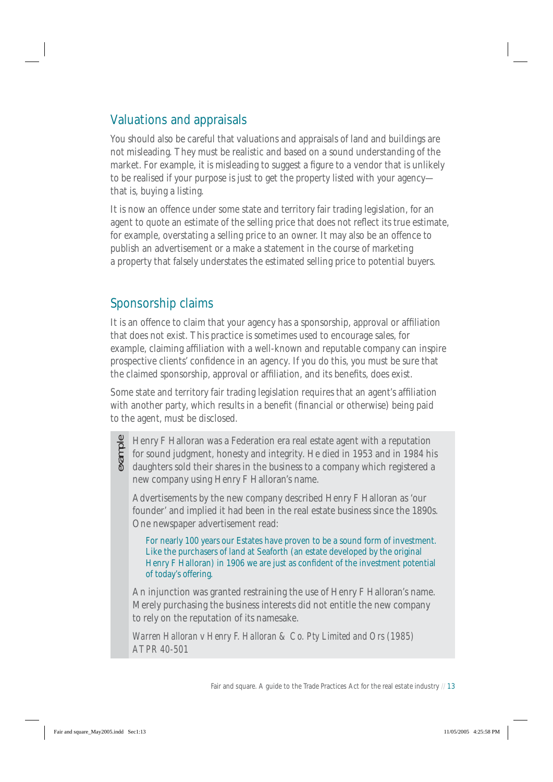## Valuations and appraisals

You should also be careful that valuations and appraisals of land and buildings are not misleading. They must be realistic and based on a sound understanding of the market. For example, it is misleading to suggest a figure to a vendor that is unlikely to be realised if your purpose is just to get the property listed with your agency that is, buying a listing.

It is now an offence under some state and territory fair trading legislation, for an agent to quote an estimate of the selling price that does not reflect its true estimate, for example, overstating a selling price to an owner. It may also be an offence to publish an advertisement or a make a statement in the course of marketing a property that falsely understates the estimated selling price to potential buyers.

## Sponsorship claims

It is an offence to claim that your agency has a sponsorship, approval or affiliation that does not exist. This practice is sometimes used to encourage sales, for example, claiming affiliation with a well-known and reputable company can inspire prospective clients' confidence in an agency. If you do this, you must be sure that the claimed sponsorship, approval or affiliation, and its benefits, does exist.

Some state and territory fair trading legislation requires that an agent's affiliation with another party, which results in a benefit (financial or otherwise) being paid to the agent, must be disclosed.

Henry F Halloran was a Federation era real estate agent with a reputation<br>for sound judgment, honesty and integrity. He died in 1953 and in 1984 his<br>daughters sold their shares in the business to a company which registere for sound judgment, honesty and integrity. He died in 1953 and in 1984 his daughters sold their shares in the business to a company which registered a new company using Henry F Halloran's name.

Advertisements by the new company described Henry F Halloran as 'our founder' and implied it had been in the real estate business since the 1890s. One newspaper advertisement read:

For nearly 100 years our Estates have proven to be a sound form of investment. Like the purchasers of land at Seaforth (an estate developed by the original Henry F Halloran) in 1906 we are just as confident of the investment potential of today's offering.

An injunction was granted restraining the use of Henry F Halloran's name. Merely purchasing the business interests did not entitle the new company to rely on the reputation of its namesake.

*Warren Halloran v Henry F. Halloran & Co. Pty Limited and Ors (1985) ATPR 40-501*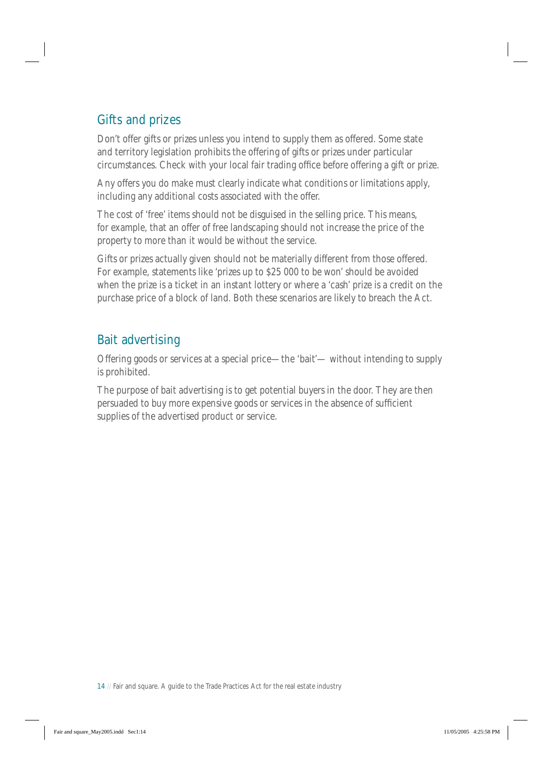## Gifts and prizes

Don't offer gifts or prizes unless you intend to supply them as offered. Some state and territory legislation prohibits the offering of gifts or prizes under particular circumstances. Check with your local fair trading office before offering a gift or prize.

Any offers you do make must clearly indicate what conditions or limitations apply, including any additional costs associated with the offer.

The cost of 'free' items should not be disguised in the selling price. This means, for example, that an offer of free landscaping should not increase the price of the property to more than it would be without the service.

Gifts or prizes actually given should not be materially different from those offered. For example, statements like 'prizes up to \$25 000 to be won' should be avoided when the prize is a ticket in an instant lottery or where a 'cash' prize is a credit on the purchase price of a block of land. Both these scenarios are likely to breach the Act.

## Bait advertising

Offering goods or services at a special price—the 'bait'— without intending to supply is prohibited.

The purpose of bait advertising is to get potential buyers in the door. They are then persuaded to buy more expensive goods or services in the absence of sufficient supplies of the advertised product or service.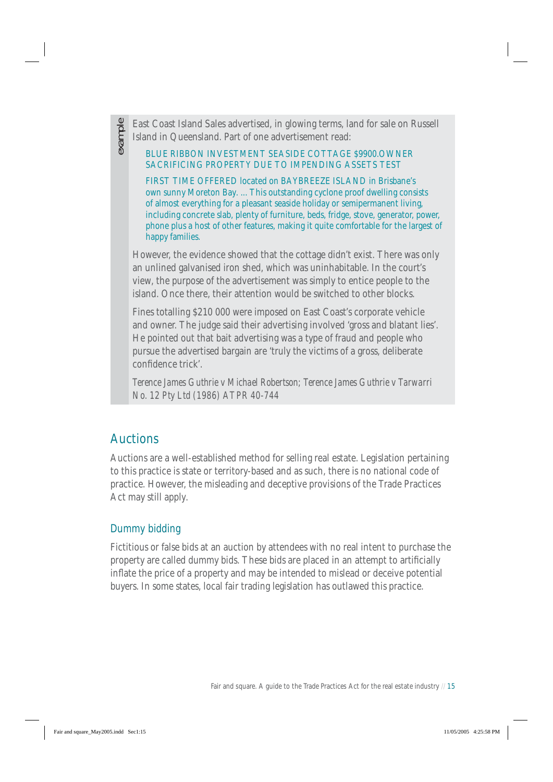East Coast Island Sales advertised, in glowing terms, land for sale on Russell<br>Island in Queensland. Part of one advertisement read:<br>RUJE PIBBON INVESTMENT SEASIDE COTTAGE \$9900 OWNER Island in Queensland. Part of one advertisement read:

#### BLUE RIBBON INVESTMENT SEASIDE COTTAGE \$9900.OWNER SACRIFICING PROPERTY DUE TO IMPENDING ASSETS TEST

FIRST TIME OFFERED located on BAYBREEZE ISLAND in Brisbane's own sunny Moreton Bay. ... This outstanding cyclone proof dwelling consists of almost everything for a pleasant seaside holiday or semipermanent living, including concrete slab, plenty of furniture, beds, fridge, stove, generator, power, phone plus a host of other features, making it quite comfortable for the largest of happy families.

However, the evidence showed that the cottage didn't exist. There was only an unlined galvanised iron shed, which was uninhabitable. In the court's view, the purpose of the advertisement was simply to entice people to the island. Once there, their attention would be switched to other blocks.

Fines totalling \$210 000 were imposed on East Coast's corporate vehicle and owner. The judge said their advertising involved 'gross and blatant lies'. He pointed out that bait advertising was a type of fraud and people who pursue the advertised bargain are 'truly the victims of a gross, deliberate confidence trick'.

*Terence James Guthrie v Michael Robertson; Terence James Guthrie v Tarwarri No. 12 Pty Ltd (1986) ATPR 40-744* 

## Auctions

Auctions are a well-established method for selling real estate. Legislation pertaining to this practice is state or territory-based and as such, there is no national code of practice. However, the misleading and deceptive provisions of the Trade Practices Act may still apply.

### Dummy bidding

Fictitious or false bids at an auction by attendees with no real intent to purchase the property are called dummy bids. These bids are placed in an attempt to artificially inflate the price of a property and may be intended to mislead or deceive potential buyers. In some states, local fair trading legislation has outlawed this practice.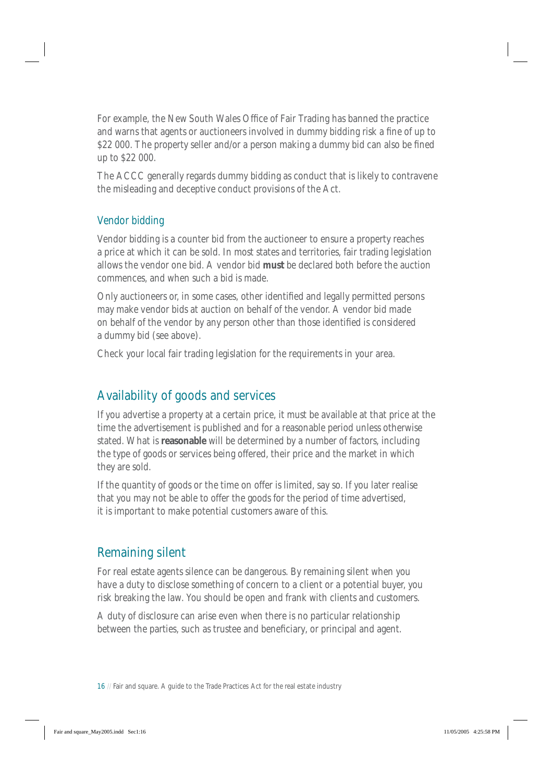For example, the New South Wales Office of Fair Trading has banned the practice and warns that agents or auctioneers involved in dummy bidding risk a fine of up to \$22 000. The property seller and/or a person making a dummy bid can also be fined up to \$22 000.

The ACCC generally regards dummy bidding as conduct that is likely to contravene the misleading and deceptive conduct provisions of the Act.

### Vendor bidding

Vendor bidding is a counter bid from the auctioneer to ensure a property reaches a price at which it can be sold. In most states and territories, fair trading legislation allows the vendor one bid. A vendor bid **must** be declared both before the auction commences, and when such a bid is made.

Only auctioneers or, in some cases, other identified and legally permitted persons may make vendor bids at auction on behalf of the vendor. A vendor bid made on behalf of the vendor by any person other than those identified is considered a dummy bid (see above).

Check your local fair trading legislation for the requirements in your area.

## Availability of goods and services

If you advertise a property at a certain price, it must be available at that price at the time the advertisement is published and for a reasonable period unless otherwise stated. What is **reasonable** will be determined by a number of factors, including the type of goods or services being offered, their price and the market in which they are sold.

If the quantity of goods or the time on offer is limited, say so. If you later realise that you may not be able to offer the goods for the period of time advertised, it is important to make potential customers aware of this.

## Remaining silent

For real estate agents silence can be dangerous. By remaining silent when you have a duty to disclose something of concern to a client or a potential buyer, you risk breaking the law. You should be open and frank with clients and customers.

A duty of disclosure can arise even when there is no particular relationship between the parties, such as trustee and beneficiary, or principal and agent.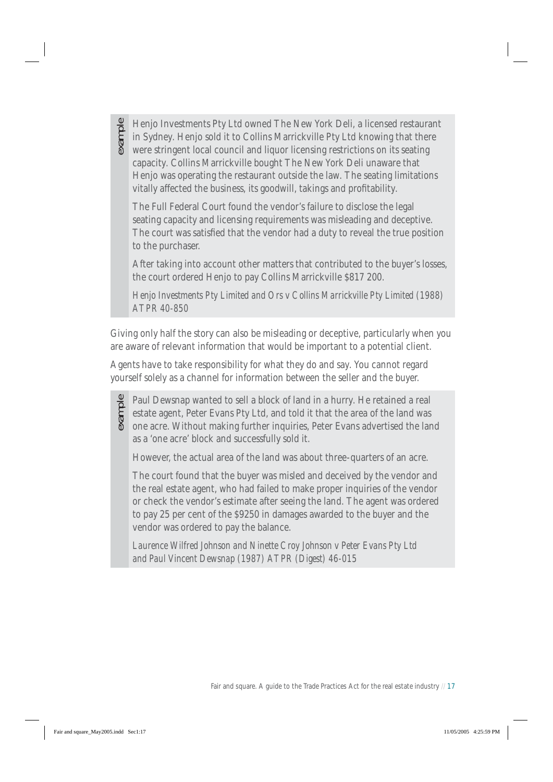$\frac{28}{25}$  Henjo Investments Pty Ltd owned The New York Deli, a licensed restaurant in Sydney. Henjo sold it to Collins Marrickville Pty Ltd knowing that there were stringent local council and liquor licensing restrictio in Sydney. Henjo sold it to Collins Marrickville Pty Ltd knowing that there capacity. Collins Marrickville bought The New York Deli unaware that Henjo was operating the restaurant outside the law. The seating limitations vitally affected the business, its goodwill, takings and profitability.

The Full Federal Court found the vendor's failure to disclose the legal seating capacity and licensing requirements was misleading and deceptive. The court was satisfied that the vendor had a duty to reveal the true position to the purchaser.

After taking into account other matters that contributed to the buyer's losses, the court ordered Henjo to pay Collins Marrickville \$817 200.

*Henjo Investments Pty Limited and Ors v Collins Marrickville Pty Limited (1988) ATPR 40-850*

Giving only half the story can also be misleading or deceptive, particularly when you are aware of relevant information that would be important to a potential client.

Agents have to take responsibility for what they do and say. You cannot regard yourself solely as a channel for information between the seller and the buyer.

Paul Dewsnap wanted to sell a block of land in a hurry. He retained a real<br>estate agent, Peter Evans Pty Ltd, and told it that the area of the land was<br>one acre. Without making further inquiries, Peter Evans advertised th estate agent, Peter Evans Pty Ltd, and told it that the area of the land was one acre. Without making further inquiries, Peter Evans advertised the land as a 'one acre' block and successfully sold it.

However, the actual area of the land was about three-quarters of an acre.

The court found that the buyer was misled and deceived by the vendor and the real estate agent, who had failed to make proper inquiries of the vendor or check the vendor's estimate after seeing the land. The agent was ordered to pay 25 per cent of the \$9250 in damages awarded to the buyer and the vendor was ordered to pay the balance.

*Laurence Wilfred Johnson and Ninette Croy Johnson v Peter Evans Pty Ltd and Paul Vincent Dewsnap (1987) ATPR (Digest) 46-015*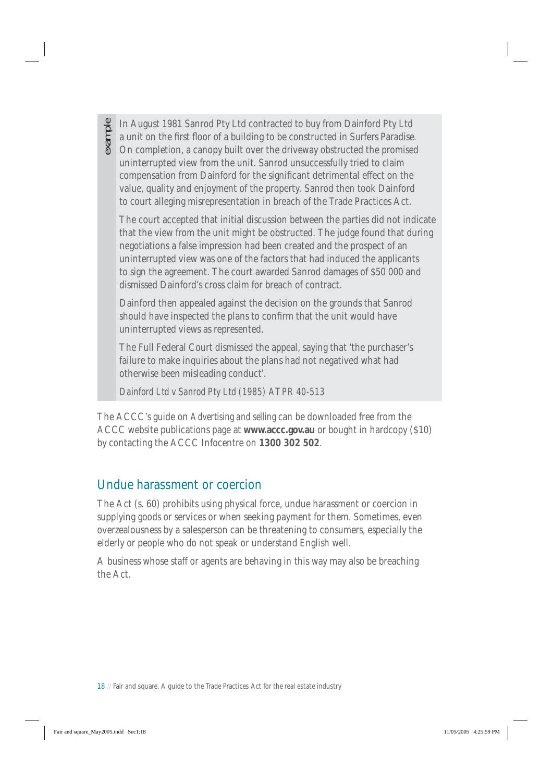<sup>28</sup> In August 1981 Sanrod Pty Ltd Contracted to buy from Dainford Pty Ltd completion, a canopy built over the driveway obstructed the promiss unintertupled view form the unit. Sanrod unsuccessfully theid to claim<br>compensa a unit on the first floor of a building to be constructed in Surfers Paradise. On completion, a canopy built over the driveway obstructed the promised uninterrupted view from the unit. Sanrod unsuccessfully tried to claim compensation from Dainford for the significant detrimental effect on the value, quality and enjoyment of the property. Sanrod then took Dainford to court alleging misrepresentation in breach of the Trade Practices Act.

The court accepted that initial discussion between the parties did not indicate that the view from the unit might be obstructed. The judge found that during negotiations a false impression had been created and the prospect of an uninterrupted view was one of the factors that had induced the applicants to sign the agreement. The court awarded Sanrod damages of \$50 000 and dismissed Dainford's cross claim for breach of contract.

Dainford then appealed against the decision on the grounds that Sanrod should have inspected the plans to confirm that the unit would have uninterrupted views as represented.

The Full Federal Court dismissed the appeal, saying that 'the purchaser's failure to make inquiries about the plans had not negatived what had otherwise been misleading conduct'.

*Dainford Ltd v Sanrod Pty Ltd (1985) ATPR 40-513*

The ACCC's guide on *Advertising and selling* can be downloaded free from the ACCC website publications page at **www.accc.gov.au** or bought in hardcopy (\$10) by contacting the ACCC Infocentre on **1300 302 502**.

## Undue harassment or coercion

The Act (s. 60) prohibits using physical force, undue harassment or coercion in supplying goods or services or when seeking payment for them. Sometimes, even overzealousness by a salesperson can be threatening to consumers, especially the elderly or people who do not speak or understand English well.

A business whose staff or agents are behaving in this way may also be breaching the Act.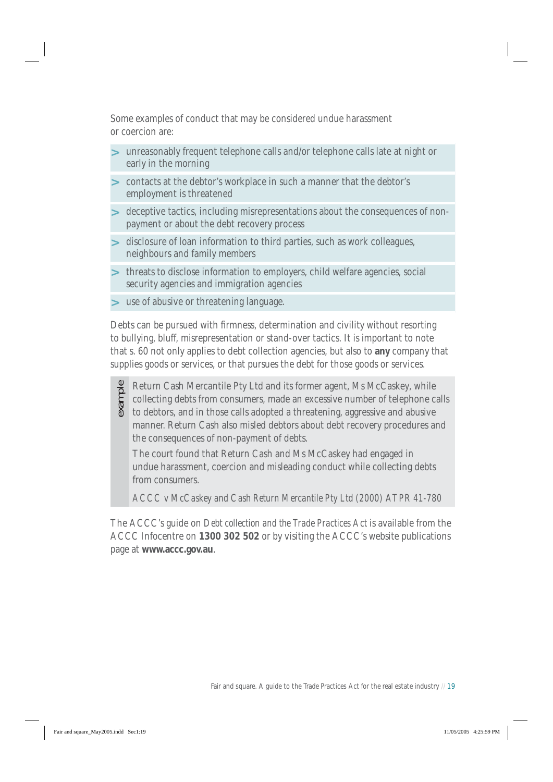Some examples of conduct that may be considered undue harassment or coercion are:

- **>** unreasonably frequent telephone calls and/or telephone calls late at night or early in the morning
- **>** contacts at the debtor's workplace in such a manner that the debtor's employment is threatened
- **>** deceptive tactics, including misrepresentations about the consequences of nonpayment or about the debt recovery process
- **>** disclosure of loan information to third parties, such as work colleagues, neighbours and family members
- **>** threats to disclose information to employers, child welfare agencies, social security agencies and immigration agencies
- **>** use of abusive or threatening language.

Debts can be pursued with firmness, determination and civility without resorting to bullying, bluff, misrepresentation or stand-over tactics. It is important to note that s. 60 not only applies to debt collection agencies, but also to **any** company that supplies goods or services, or that pursues the debt for those goods or services.

example Return Cash Mercantile Pty Ltd and its former agent, Ms McCaskey, while<br>collecting debts from consumers, made an excessive number of telephone case<br>to debtors, and in those calls adopted a threatening, aggressive collecting debts from consumers, made an excessive number of telephone calls to debtors, and in those calls adopted a threatening, aggressive and abusive manner. Return Cash also misled debtors about debt recovery procedures and the consequences of non-payment of debts.

The court found that Return Cash and Ms McCaskey had engaged in undue harassment, coercion and misleading conduct while collecting debts from consumers.

*ACCC v McCaskey and Cash Return Mercantile Pty Ltd (2000) ATPR 41-780*

The ACCC's guide on *Debt collection and the Trade Practices Act* is available from the ACCC Infocentre on **1300 302 502** or by visiting the ACCC's website publications page at **www.accc.gov.au**.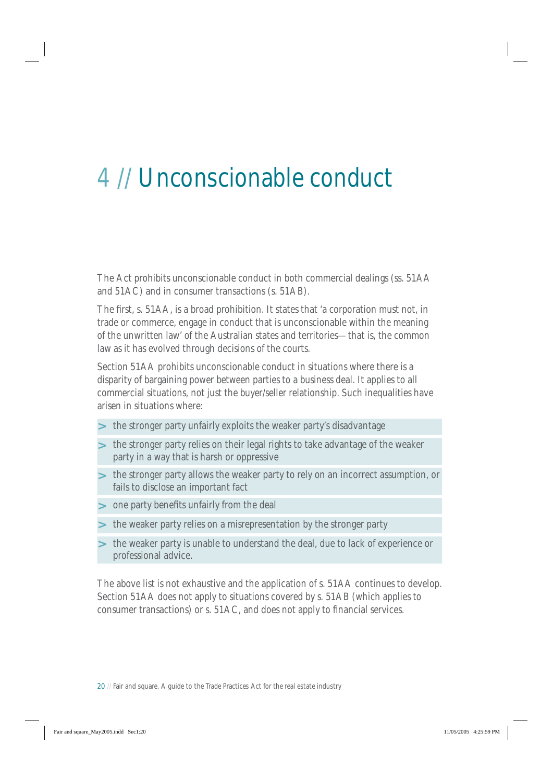## 4 // Unconscionable conduct

The Act prohibits unconscionable conduct in both commercial dealings (ss. 51AA and 51AC) and in consumer transactions (s. 51AB).

The first, s. 51AA, is a broad prohibition. It states that 'a corporation must not, in trade or commerce, engage in conduct that is unconscionable within the meaning of the unwritten law' of the Australian states and territories—that is, the common law as it has evolved through decisions of the courts.

Section 51AA prohibits unconscionable conduct in situations where there is a disparity of bargaining power between parties to a business deal. It applies to all commercial situations, not just the buyer/seller relationship. Such inequalities have arisen in situations where:

- **>** the stronger party unfairly exploits the weaker party's disadvantage
- **>** the stronger party relies on their legal rights to take advantage of the weaker party in a way that is harsh or oppressive
- **>** the stronger party allows the weaker party to rely on an incorrect assumption, or fails to disclose an important fact
- $>$  one party benefits unfairly from the deal
- **>** the weaker party relies on a misrepresentation by the stronger party
- **>** the weaker party is unable to understand the deal, due to lack of experience or professional advice.

The above list is not exhaustive and the application of s. 51AA continues to develop. Section 51AA does not apply to situations covered by s. 51AB (which applies to consumer transactions) or s. 51AC, and does not apply to financial services.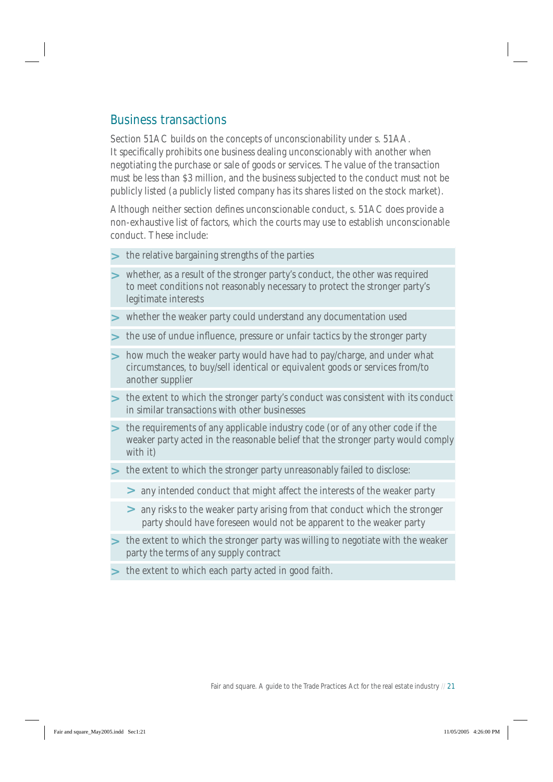## Business transactions

Section 51AC builds on the concepts of unconscionability under s. 51AA. It specifically prohibits one business dealing unconscionably with another when negotiating the purchase or sale of goods or services. The value of the transaction must be less than \$3 million, and the business subjected to the conduct must not be publicly listed (a publicly listed company has its shares listed on the stock market).

Although neither section defines unconscionable conduct, s. 51AC does provide a non-exhaustive list of factors, which the courts may use to establish unconscionable conduct. These include:

- **>** the relative bargaining strengths of the parties
- **>** whether, as a result of the stronger party's conduct, the other was required to meet conditions not reasonably necessary to protect the stronger party's legitimate interests
- **>** whether the weaker party could understand any documentation used
- **>** the use of undue influence, pressure or unfair tactics by the stronger party
- **>** how much the weaker party would have had to pay/charge, and under what circumstances, to buy/sell identical or equivalent goods or services from/to another supplier
- **>** the extent to which the stronger party's conduct was consistent with its conduct in similar transactions with other businesses
- **>** the requirements of any applicable industry code (or of any other code if the weaker party acted in the reasonable belief that the stronger party would comply with it)
- **>** the extent to which the stronger party unreasonably failed to disclose:
	- **>** any intended conduct that might affect the interests of the weaker party
	- **>** any risks to the weaker party arising from that conduct which the stronger party should have foreseen would not be apparent to the weaker party
- **>** the extent to which the stronger party was willing to negotiate with the weaker party the terms of any supply contract
- **>** the extent to which each party acted in good faith.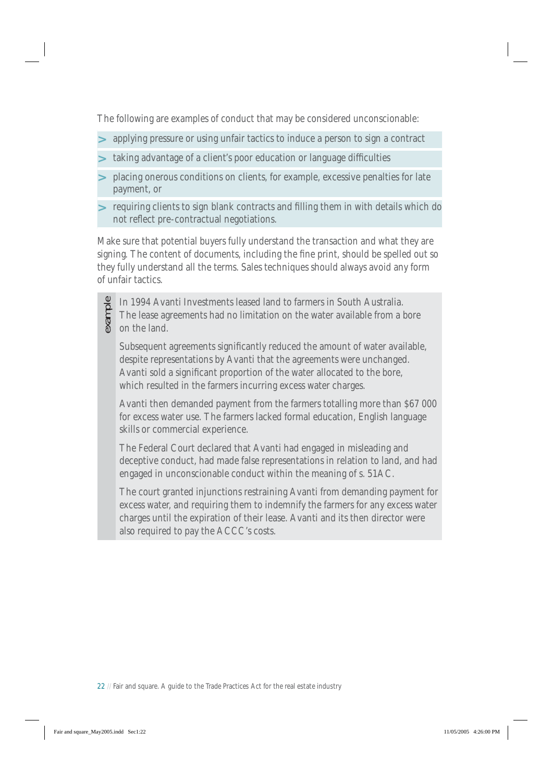The following are examples of conduct that may be considered unconscionable:

- **>** applying pressure or using unfair tactics to induce a person to sign a contract
- $\geq$  taking advantage of a client's poor education or language difficulties
- **>** placing onerous conditions on clients, for example, excessive penalties for late payment, or
- **>** requiring clients to sign blank contracts and fi lling them in with details which do not reflect pre-contractual negotiations.

Make sure that potential buyers fully understand the transaction and what they are signing. The content of documents, including the fine print, should be spelled out so they fully understand all the terms. Sales techniques should always avoid any form of unfair tactics.

In 1994 Avanti Investments leased land to farmers in South Australia.<br>
The lease agreements had no limitation on the water available from a k<br>
Son the land. The lease agreements had no limitation on the water available from a bore on the land.

Subsequent agreements significantly reduced the amount of water available, despite representations by Avanti that the agreements were unchanged. Avanti sold a significant proportion of the water allocated to the bore, which resulted in the farmers incurring excess water charges.

Avanti then demanded payment from the farmers totalling more than \$67 000 for excess water use. The farmers lacked formal education, English language skills or commercial experience.

The Federal Court declared that Avanti had engaged in misleading and deceptive conduct, had made false representations in relation to land, and had engaged in unconscionable conduct within the meaning of s. 51AC.

The court granted injunctions restraining Avanti from demanding payment for excess water, and requiring them to indemnify the farmers for any excess water charges until the expiration of their lease. Avanti and its then director were also required to pay the ACCC's costs.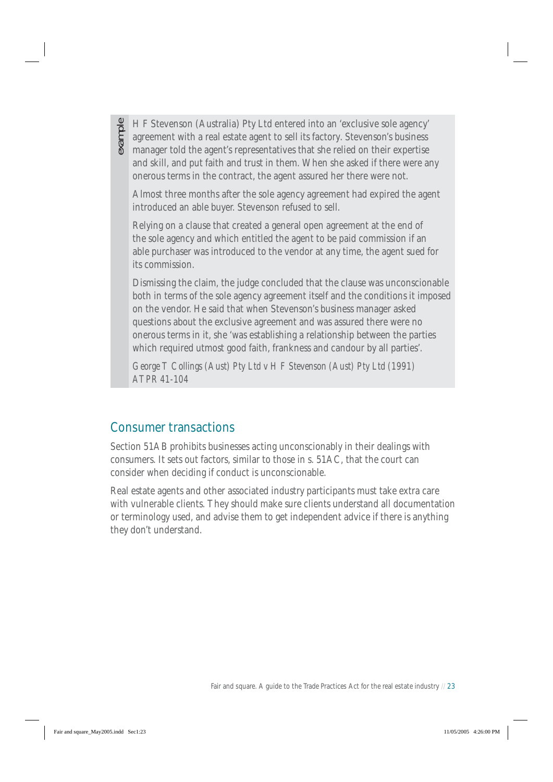$\frac{28}{65}$  H F Stevenson (Australia) Pty Ltd entered into an 'exclusive sole agency' agreement with a real estate agent to sell its factory. Stevenson's business manager told the agent's representatives that she relied o agreement with a real estate agent to sell its factory. Stevenson's business

and skill, and put faith and trust in them. When she asked if there were any onerous terms in the contract, the agent assured her there were not.

Almost three months after the sole agency agreement had expired the agent introduced an able buyer. Stevenson refused to sell.

Relying on a clause that created a general open agreement at the end of the sole agency and which entitled the agent to be paid commission if an able purchaser was introduced to the vendor at any time, the agent sued for its commission.

Dismissing the claim, the judge concluded that the clause was unconscionable both in terms of the sole agency agreement itself and the conditions it imposed on the vendor. He said that when Stevenson's business manager asked questions about the exclusive agreement and was assured there were no onerous terms in it, she 'was establishing a relationship between the parties which required utmost good faith, frankness and candour by all parties'.

*George T Collings (Aust) Pty Ltd v H F Stevenson (Aust) Pty Ltd (1991) ATPR 41-104*

## Consumer transactions

Section 51AB prohibits businesses acting unconscionably in their dealings with consumers. It sets out factors, similar to those in s. 51AC, that the court can consider when deciding if conduct is unconscionable.

Real estate agents and other associated industry participants must take extra care with vulnerable clients. They should make sure clients understand all documentation or terminology used, and advise them to get independent advice if there is anything they don't understand.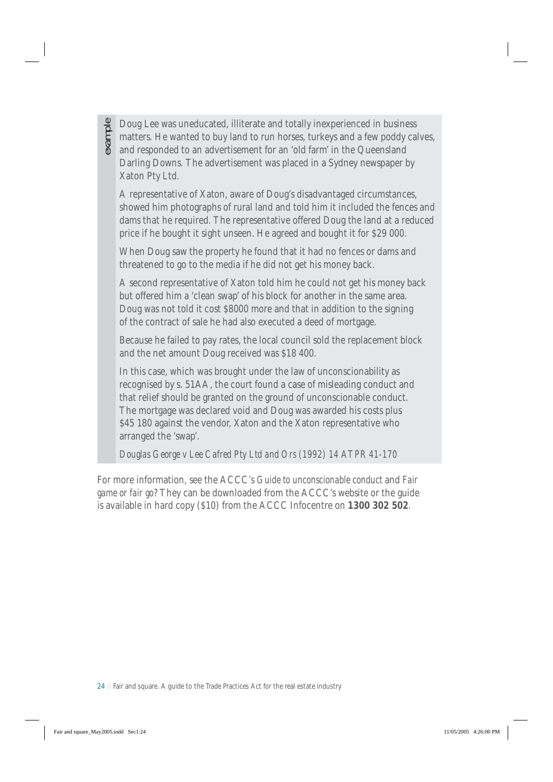$\frac{32}{24}$  Dougles was uneducated, illiterate and totally inexperienced in business. The symptom of the Trade Practices and responsed to an advertisement for an old farm in the Queensland Darling Downs. The advertisement matters. He wanted to buy land to run horses, turkeys and a few poddy calves, and responded to an advertisement for an 'old farm' in the Queensland Darling Downs. The advertisement was placed in a Sydney newspaper by Xaton Pty Ltd. A representative of Xaton, aware of Doug's disadvantaged circumstances, showed him photographs of rural land and told him it included the fences and dams that he required. The representative offered Doug the land at a reduced price if he bought it sight unseen. He agreed and bought it for \$29 000. When Doug saw the property he found that it had no fences or dams and threatened to go to the media if he did not get his money back. A second representative of Xaton told him he could not get his money back but offered him a 'clean swap' of his block for another in the same area. Doug was not told it cost \$8000 more and that in addition to the signing of the contract of sale he had also executed a deed of mortgage. Because he failed to pay rates, the local council sold the replacement block and the net amount Doug received was \$18 400. In this case, which was brought under the law of unconscionability as

recognised by s. 51AA, the court found a case of misleading conduct and that relief should be granted on the ground of unconscionable conduct. The mortgage was declared void and Doug was awarded his costs plus \$45 180 against the vendor, Xaton and the Xaton representative who arranged the 'swap'.

*Douglas George v Lee Cafred Pty Ltd and Ors (1992) 14 ATPR 41-170*

For more information, see the ACCC's *Guide to unconscionable conduct* and *Fair game or fair go*? They can be downloaded from the ACCC's website or the guide is available in hard copy (\$10) from the ACCC Infocentre on **1300 302 502**.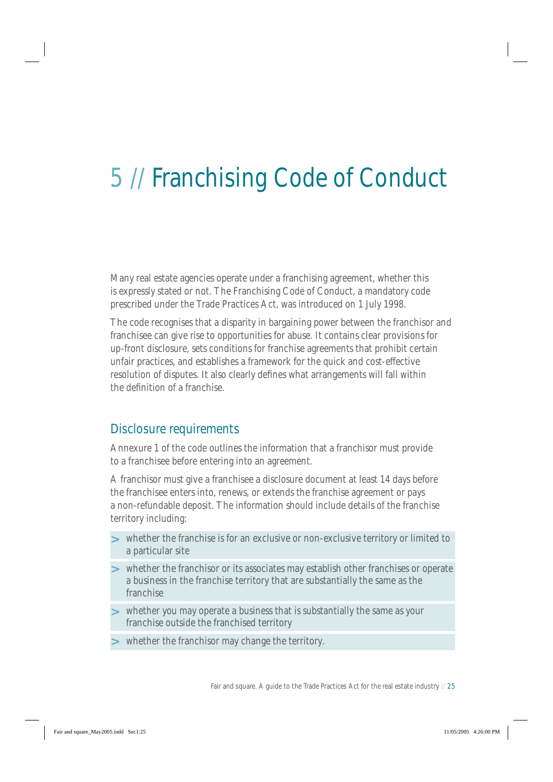## 5 // Franchising Code of Conduct

Many real estate agencies operate under a franchising agreement, whether this is expressly stated or not. The Franchising Code of Conduct, a mandatory code prescribed under the Trade Practices Act, was introduced on 1 July 1998.

The code recognises that a disparity in bargaining power between the franchisor and franchisee can give rise to opportunities for abuse. It contains clear provisions for up-front disclosure, sets conditions for franchise agreements that prohibit certain unfair practices, and establishes a framework for the quick and cost-effective resolution of disputes. It also clearly defines what arrangements will fall within the definition of a franchise.

## Disclosure requirements

Annexure 1 of the code outlines the information that a franchisor must provide to a franchisee before entering into an agreement.

A franchisor must give a franchisee a disclosure document at least 14 days before the franchisee enters into, renews, or extends the franchise agreement or pays a non-refundable deposit. The information should include details of the franchise territory including:

- **>** whether the franchise is for an exclusive or non-exclusive territory or limited to a particular site
- **>** whether the franchisor or its associates may establish other franchises or operate a business in the franchise territory that are substantially the same as the franchise
- **>** whether you may operate a business that is substantially the same as your franchise outside the franchised territory
- **>** whether the franchisor may change the territory.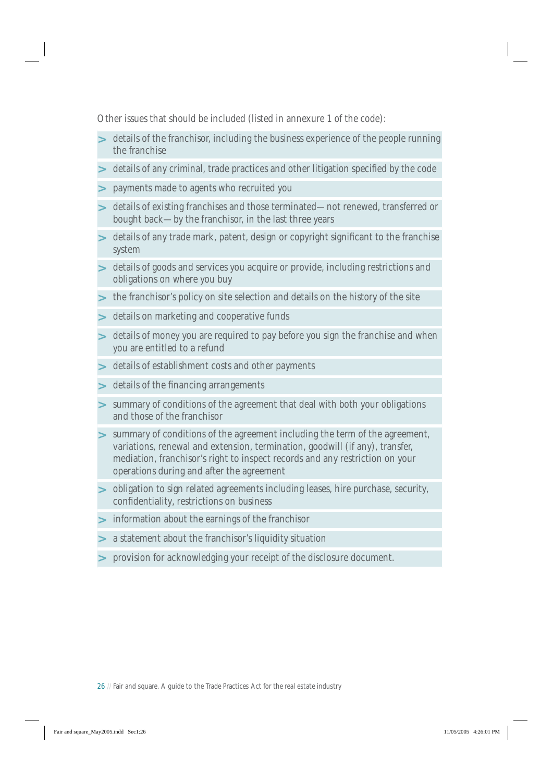Other issues that should be included (listed in annexure 1 of the code):

- **>** details of the franchisor, including the business experience of the people running the franchise
- $>$  details of any criminal, trade practices and other litigation specified by the code
- **>** payments made to agents who recruited you
- **>** details of existing franchises and those terminated—not renewed, transferred or bought back—by the franchisor, in the last three years
- > details of any trade mark, patent, design or copyright significant to the franchise system
- **>** details of goods and services you acquire or provide, including restrictions and obligations on where you buy
- **>** the franchisor's policy on site selection and details on the history of the site
- **>** details on marketing and cooperative funds
- **>** details of money you are required to pay before you sign the franchise and when you are entitled to a refund
- **>** details of establishment costs and other payments
- $>$  details of the financing arrangements
- **>** summary of conditions of the agreement that deal with both your obligations and those of the franchisor
- **>** summary of conditions of the agreement including the term of the agreement, variations, renewal and extension, termination, goodwill (if any), transfer, mediation, franchisor's right to inspect records and any restriction on your operations during and after the agreement
- **>** obligation to sign related agreements including leases, hire purchase, security, confidentiality, restrictions on business
- **>** information about the earnings of the franchisor
- **>** a statement about the franchisor's liquidity situation
- **>** provision for acknowledging your receipt of the disclosure document.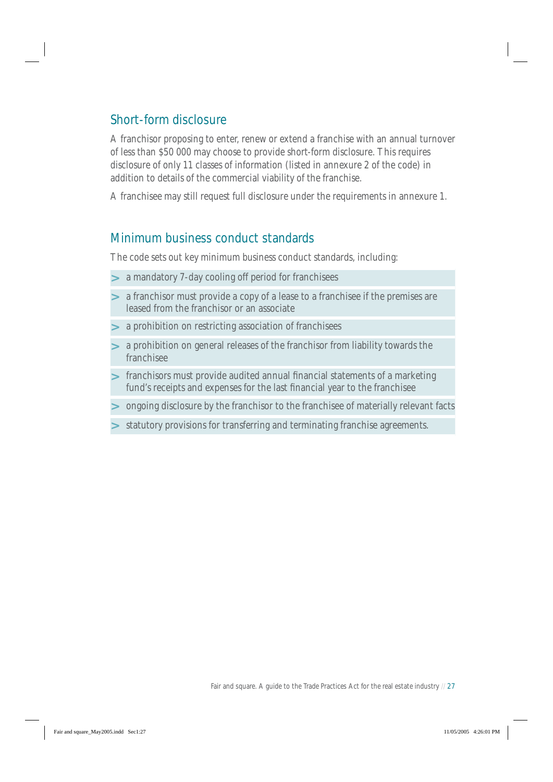## Short-form disclosure

A franchisor proposing to enter, renew or extend a franchise with an annual turnover of less than \$50 000 may choose to provide short-form disclosure. This requires disclosure of only 11 classes of information (listed in annexure 2 of the code) in addition to details of the commercial viability of the franchise.

A franchisee may still request full disclosure under the requirements in annexure 1.

## Minimum business conduct standards

The code sets out key minimum business conduct standards, including:

- **>** a mandatory 7-day cooling off period for franchisees
- **>** a franchisor must provide a copy of a lease to a franchisee if the premises are leased from the franchisor or an associate
- **>** a prohibition on restricting association of franchisees
- **>** a prohibition on general releases of the franchisor from liability towards the franchisee
- **>** franchisors must provide audited annual financial statements of a marketing fund's receipts and expenses for the last financial year to the franchisee
- **>** ongoing disclosure by the franchisor to the franchisee of materially relevant facts
- **>** statutory provisions for transferring and terminating franchise agreements.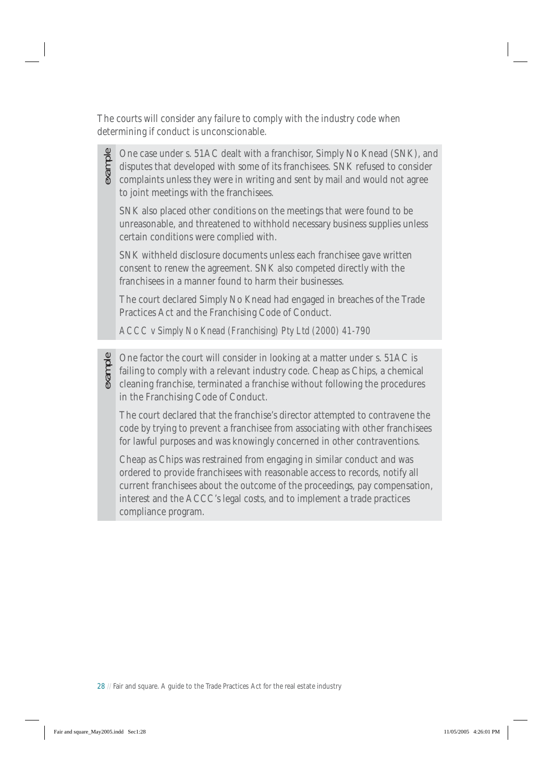The courts will consider any failure to comply with the industry code when determining if conduct is unconscionable.

One case under s. 51AC dealt with a franchisor, Simply No Knead (SNK), and disputes that developed with some of its franchisees. SNK refused to consider complaints unless they were in writing and sent by mail and would no disputes that developed with some of its franchisees. SNK refused to consider to joint meetings with the franchisees.

SNK also placed other conditions on the meetings that were found to be unreasonable, and threatened to withhold necessary business supplies unless certain conditions were complied with.

SNK withheld disclosure documents unless each franchisee gave written consent to renew the agreement. SNK also competed directly with the franchisees in a manner found to harm their businesses.

The court declared Simply No Knead had engaged in breaches of the Trade Practices Act and the Franchising Code of Conduct.

*ACCC v Simply No Knead (Franchising) Pty Ltd (2000) 41-790*

One factor the court will consider in looking at a matter under s. 51AC is<br>
failing to comply with a relevant industry code. Cheap as Chips, a chemical<br>
cleaning franchise, terminated a franchise without following the pro failing to comply with a relevant industry code. Cheap as Chips, a chemical in the Franchising Code of Conduct.

The court declared that the franchise's director attempted to contravene the code by trying to prevent a franchisee from associating with other franchisees for lawful purposes and was knowingly concerned in other contraventions.

Cheap as Chips was restrained from engaging in similar conduct and was ordered to provide franchisees with reasonable access to records, notify all current franchisees about the outcome of the proceedings, pay compensation, interest and the ACCC's legal costs, and to implement a trade practices compliance program.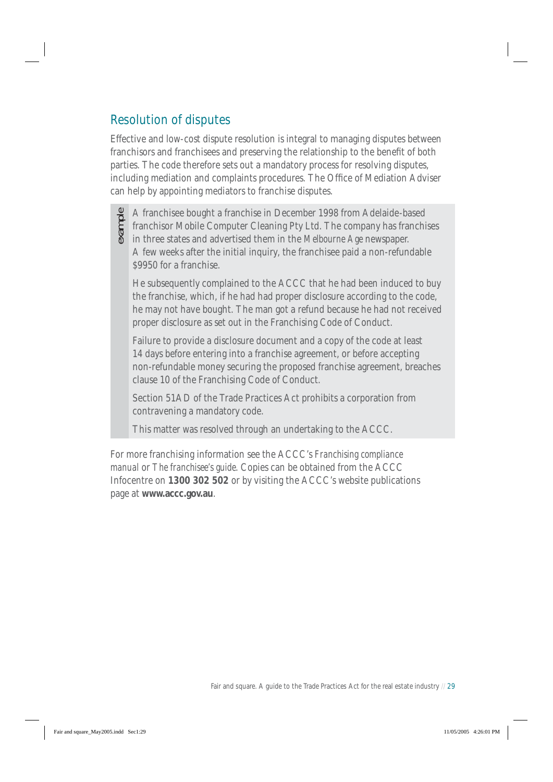## Resolution of disputes

Effective and low-cost dispute resolution is integral to managing disputes between franchisors and franchisees and preserving the relationship to the benefit of both parties. The code therefore sets out a mandatory process for resolving disputes, including mediation and complaints procedures. The Office of Mediation Adviser can help by appointing mediators to franchise disputes.

A franchisee bought a franchise in December 1998 from Adelaide-based<br>
Franchisor Mobile Computer Cleaning Pty Ltd. The company has franchi<br>  $\frac{8}{10}$  in three states and advertised them in the Melbourne Age newspaper. franchisor Mobile Computer Cleaning Pty Ltd. The company has franchises in three states and advertised them in the *Melbourne Age* newspaper. A few weeks after the initial inquiry, the franchisee paid a non-refundable \$9950 for a franchise.

He subsequently complained to the ACCC that he had been induced to buy the franchise, which, if he had had proper disclosure according to the code, he may not have bought. The man got a refund because he had not received proper disclosure as set out in the Franchising Code of Conduct.

Failure to provide a disclosure document and a copy of the code at least 14 days before entering into a franchise agreement, or before accepting non-refundable money securing the proposed franchise agreement, breaches clause 10 of the Franchising Code of Conduct.

Section 51AD of the Trade Practices Act prohibits a corporation from contravening a mandatory code.

This matter was resolved through an undertaking to the ACCC.

For more franchising information see the ACCC's *Franchising compliance manual* or *The franchisee's guide*. Copies can be obtained from the ACCC Infocentre on **1300 302 502** or by visiting the ACCC's website publications page at **www.accc.gov.au**.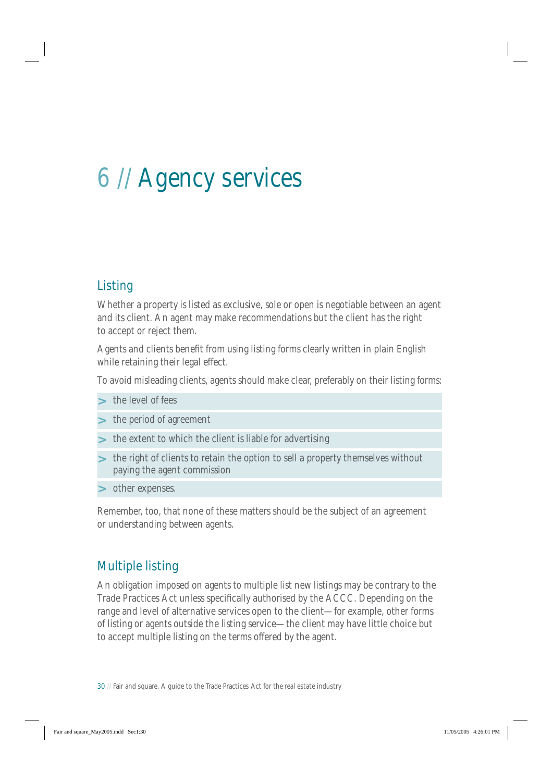## 6 // Agency services

## **Listing**

Whether a property is listed as exclusive, sole or open is negotiable between an agent and its client. An agent may make recommendations but the client has the right to accept or reject them.

Agents and clients benefit from using listing forms clearly written in plain English while retaining their legal effect.

To avoid misleading clients, agents should make clear, preferably on their listing forms:

- **>** the level of fees
- **>** the period of agreement
- **>** the extent to which the client is liable for advertising
- **>** the right of clients to retain the option to sell a property themselves without paying the agent commission
- **>** other expenses.

Remember, too, that none of these matters should be the subject of an agreement or understanding between agents.

## Multiple listing

An obligation imposed on agents to multiple list new listings may be contrary to the Trade Practices Act unless specifically authorised by the ACCC. Depending on the range and level of alternative services open to the client—for example, other forms of listing or agents outside the listing service—the client may have little choice but to accept multiple listing on the terms offered by the agent.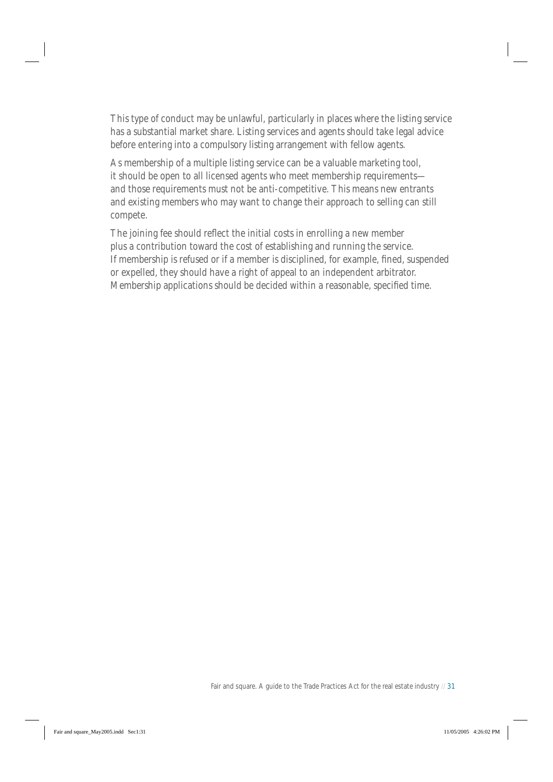This type of conduct may be unlawful, particularly in places where the listing service has a substantial market share. Listing services and agents should take legal advice before entering into a compulsory listing arrangement with fellow agents.

As membership of a multiple listing service can be a valuable marketing tool, it should be open to all licensed agents who meet membership requirements and those requirements must not be anti-competitive. This means new entrants and existing members who may want to change their approach to selling can still compete.

The joining fee should reflect the initial costs in enrolling a new member plus a contribution toward the cost of establishing and running the service. If membership is refused or if a member is disciplined, for example, fined, suspended or expelled, they should have a right of appeal to an independent arbitrator. Membership applications should be decided within a reasonable, specified time.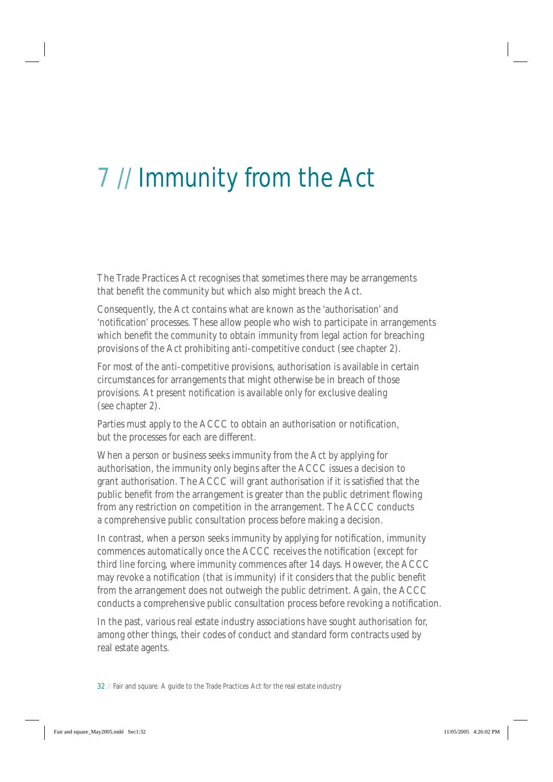## 7 // Immunity from the Act

The Trade Practices Act recognises that sometimes there may be arrangements that benefit the community but which also might breach the Act.

Consequently, the Act contains what are known as the 'authorisation' and 'notification' processes. These allow people who wish to participate in arrangements which benefit the community to obtain immunity from legal action for breaching provisions of the Act prohibiting anti-competitive conduct (see chapter 2).

For most of the anti-competitive provisions, authorisation is available in certain circumstances for arrangements that might otherwise be in breach of those provisions. At present notification is available only for exclusive dealing (see chapter 2).

Parties must apply to the ACCC to obtain an authorisation or notification, but the processes for each are different.

When a person or business seeks immunity from the Act by applying for authorisation, the immunity only begins after the ACCC issues a decision to grant authorisation. The ACCC will grant authorisation if it is satisfied that the public benefit from the arrangement is greater than the public detriment flowing from any restriction on competition in the arrangement. The ACCC conducts a comprehensive public consultation process before making a decision.

In contrast, when a person seeks immunity by applying for notification, immunity commences automatically once the ACCC receives the notification (except for third line forcing, where immunity commences after 14 days. However, the ACCC may revoke a notification (that is immunity) if it considers that the public benefit from the arrangement does not outweigh the public detriment. Again, the ACCC conducts a comprehensive public consultation process before revoking a notification.

In the past, various real estate industry associations have sought authorisation for, among other things, their codes of conduct and standard form contracts used by real estate agents.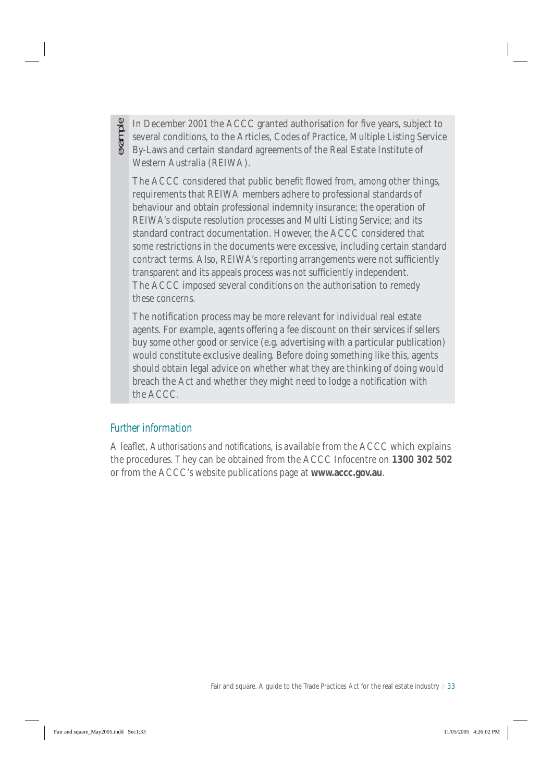In December 2001 the ACCC granted authorisation for five years, subject to<br>  $\overline{\mathbf{g}}$  several conditions, to the Articles, Codes of Practice, Multiple Listing Service<br>  $\overline{\mathbf{g}}$  By-Laws and certain standard agreements several conditions, to the Articles, Codes of Practice, Multiple Listing Service By-Laws and certain standard agreements of the Real Estate Institute of Western Australia (REIWA).

The ACCC considered that public benefit flowed from, among other things, requirements that REIWA members adhere to professional standards of behaviour and obtain professional indemnity insurance; the operation of REIWA's dispute resolution processes and Multi Listing Service; and its standard contract documentation. However, the ACCC considered that some restrictions in the documents were excessive, including certain standard contract terms. Also, REIWA's reporting arrangements were not sufficiently transparent and its appeals process was not sufficiently independent. The ACCC imposed several conditions on the authorisation to remedy these concerns.

The notification process may be more relevant for individual real estate agents. For example, agents offering a fee discount on their services if sellers buy some other good or service (e.g. advertising with a particular publication) would constitute exclusive dealing. Before doing something like this, agents should obtain legal advice on whether what they are thinking of doing would breach the Act and whether they might need to lodge a notification with the ACCC.

### *Further information*

A leaflet, Authorisations and notifications, is available from the ACCC which explains the procedures. They can be obtained from the ACCC Infocentre on **1300 302 502** or from the ACCC's website publications page at **www.accc.gov.au**.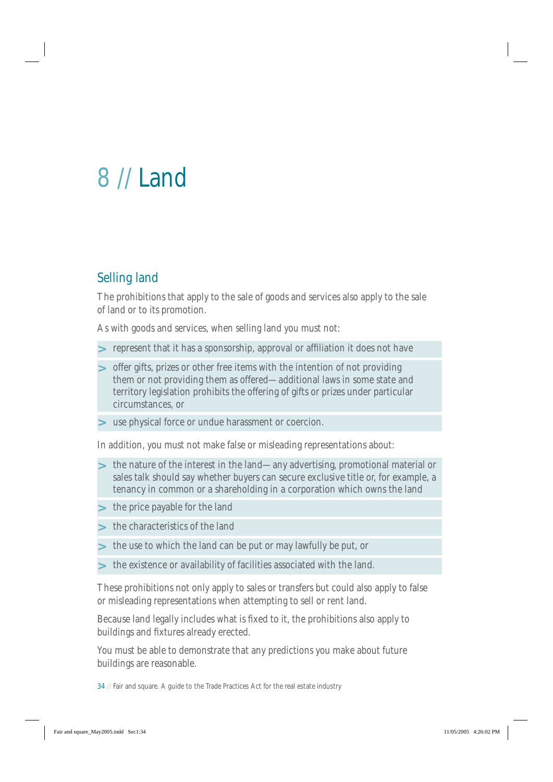## 8 // Land

## Selling land

The prohibitions that apply to the sale of goods and services also apply to the sale of land or to its promotion.

As with goods and services, when selling land you must not:

- represent that it has a sponsorship, approval or affiliation it does not have
- **>** offer gifts, prizes or other free items with the intention of not providing them or not providing them as offered—additional laws in some state and territory legislation prohibits the offering of gifts or prizes under particular circumstances, or
- **>** use physical force or undue harassment or coercion.

In addition, you must not make false or misleading representations about:

- **>** the nature of the interest in the land—any advertising, promotional material or sales talk should say whether buyers can secure exclusive title or, for example, a tenancy in common or a shareholding in a corporation which owns the land
- **>** the price payable for the land
- **>** the characteristics of the land
- **>** the use to which the land can be put or may lawfully be put, or
- **>** the existence or availability of facilities associated with the land.

These prohibitions not only apply to sales or transfers but could also apply to false or misleading representations when attempting to sell or rent land.

Because land legally includes what is fixed to it, the prohibitions also apply to buildings and fixtures already erected.

You must be able to demonstrate that any predictions you make about future buildings are reasonable.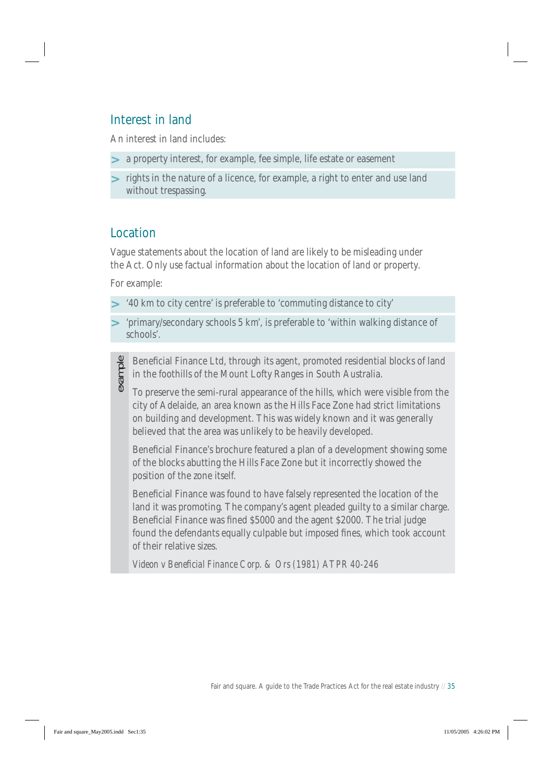## Interest in land

An interest in land includes:

- **>** a property interest, for example, fee simple, life estate or easement
- **>** rights in the nature of a licence, for example, a right to enter and use land without trespassing.

## **Location**

Vague statements about the location of land are likely to be misleading under the Act. Only use factual information about the location of land or property.

For example:

- **>** '40 km to city centre' is preferable to 'commuting distance to city'
- **>** 'primary/secondary schools 5 km', is preferable to 'within walking distance of schools'.
- examplement cial Finance Ltd, through its agent, promoted residential blocks of land<br>in the foothills of the Mount Lofty Ranges in South Australia.<br>To present the semi-rural appearance of the bills, which were visible from in the foothills of the Mount Lofty Ranges in South Australia.
	- To preserve the semi-rural appearance of the hills, which were visible from the city of Adelaide, an area known as the Hills Face Zone had strict limitations on building and development. This was widely known and it was generally believed that the area was unlikely to be heavily developed.

Beneficial Finance's brochure featured a plan of a development showing some of the blocks abutting the Hills Face Zone but it incorrectly showed the position of the zone itself.

Beneficial Finance was found to have falsely represented the location of the land it was promoting. The company's agent pleaded guilty to a similar charge. Beneficial Finance was fined \$5000 and the agent \$2000. The trial judge found the defendants equally culpable but imposed fines, which took account of their relative sizes.

*Videon v Beneficial Finance Corp. & Ors (1981) ATPR 40-246*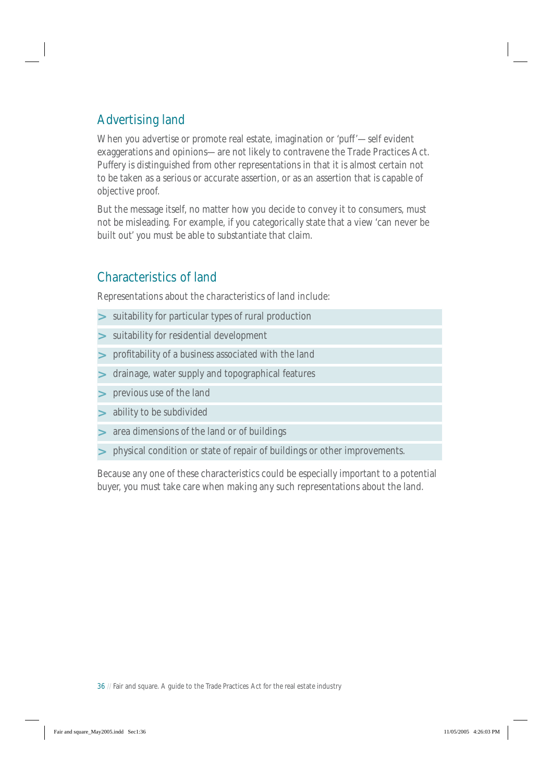## Advertising land

When you advertise or promote real estate, imagination or 'puff'—self evident exaggerations and opinions—are not likely to contravene the Trade Practices Act. Puffery is distinguished from other representations in that it is almost certain not to be taken as a serious or accurate assertion, or as an assertion that is capable of objective proof.

But the message itself, no matter how you decide to convey it to consumers, must not be misleading. For example, if you categorically state that a view 'can never be built out' you must be able to substantiate that claim.

## Characteristics of land

Representations about the characteristics of land include:

- **>** suitability for particular types of rural production
- **>** suitability for residential development
- **>** profi tability of a business associated with the land
- **>** drainage, water supply and topographical features
- **>** previous use of the land
- **>** ability to be subdivided
- **>** area dimensions of the land or of buildings
- **>** physical condition or state of repair of buildings or other improvements.

Because any one of these characteristics could be especially important to a potential buyer, you must take care when making any such representations about the land.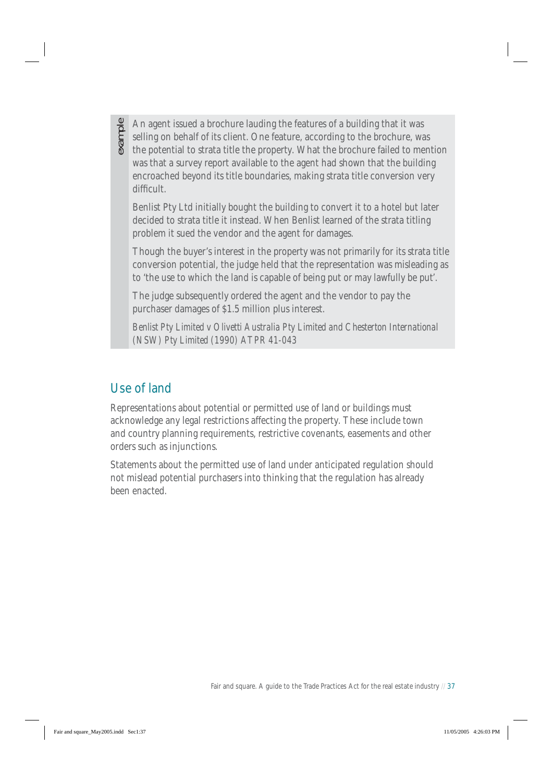selling on behalf of its client. One feature, according to the brochure, was

An agent issued a brochure lauding the features of a building that it was<br>selling on behalf of its client. One feature, according to the brochure, was<br>the potential to strata title the property. What the brochure failed t was that a survey report available to the agent had shown that the building encroached beyond its title boundaries, making strata title conversion very difficult.

Benlist Pty Ltd initially bought the building to convert it to a hotel but later decided to strata title it instead. When Benlist learned of the strata titling problem it sued the vendor and the agent for damages.

Though the buyer's interest in the property was not primarily for its strata title conversion potential, the judge held that the representation was misleading as to 'the use to which the land is capable of being put or may lawfully be put'.

The judge subsequently ordered the agent and the vendor to pay the purchaser damages of \$1.5 million plus interest.

*Benlist Pty Limited v Olivetti Australia Pty Limited and Chesterton International (NSW) Pty Limited (1990) ATPR 41-043*

## Use of land

Representations about potential or permitted use of land or buildings must acknowledge any legal restrictions affecting the property. These include town and country planning requirements, restrictive covenants, easements and other orders such as injunctions.

Statements about the permitted use of land under anticipated regulation should not mislead potential purchasers into thinking that the regulation has already been enacted.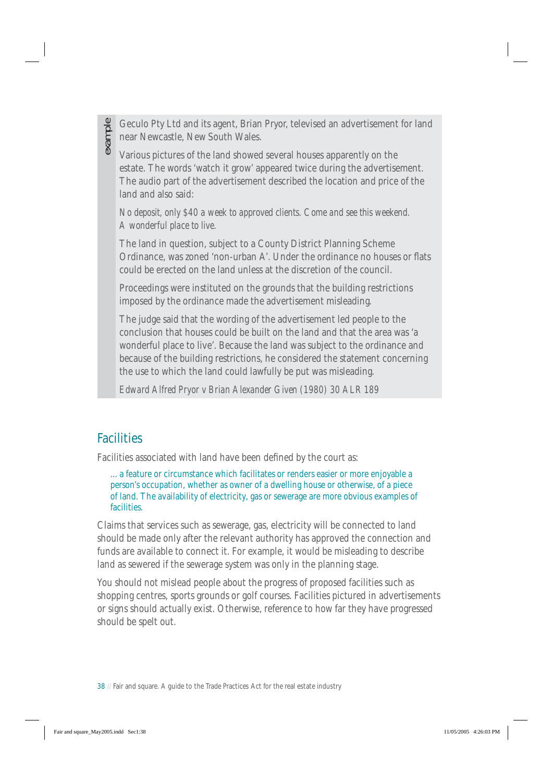near Newcastle, New South Wales.

Various pictures of the land showed several houses apparently on the estate. The words 'watch it grow' appeared twice during the advertisement. The audio part of the advertisement described the location and price of the land and also said:

*No deposit, only \$40 a week to approved clients. Come and see this weekend. A wonderful place to live.*

The land in question, subject to a County District Planning Scheme Ordinance, was zoned 'non-urban A'. Under the ordinance no houses or flats could be erected on the land unless at the discretion of the council.

Proceedings were instituted on the grounds that the building restrictions imposed by the ordinance made the advertisement misleading.

38 Ceculo Pty Litterand tis agent, Brian Pryor, televised an advertisement for land<br>star and Various plctures of the land showed several houses apparently on the<br>estate. The audoi part of the and showed several houses appa The judge said that the wording of the advertisement led people to the conclusion that houses could be built on the land and that the area was 'a wonderful place to live'. Because the land was subject to the ordinance and because of the building restrictions, he considered the statement concerning the use to which the land could lawfully be put was misleading.

*Edward Alfred Pryor v Brian Alexander Given (1980) 30 ALR 189*

## **Facilities**

Facilities associated with land have been defined by the court as:

... a feature or circumstance which facilitates or renders easier or more enjoyable a person's occupation, whether as owner of a dwelling house or otherwise, of a piece of land. The availability of electricity, gas or sewerage are more obvious examples of facilities.

Claims that services such as sewerage, gas, electricity will be connected to land should be made only after the relevant authority has approved the connection and funds are available to connect it. For example, it would be misleading to describe land as sewered if the sewerage system was only in the planning stage.

You should not mislead people about the progress of proposed facilities such as shopping centres, sports grounds or golf courses. Facilities pictured in advertisements or signs should actually exist. Otherwise, reference to how far they have progressed should be spelt out.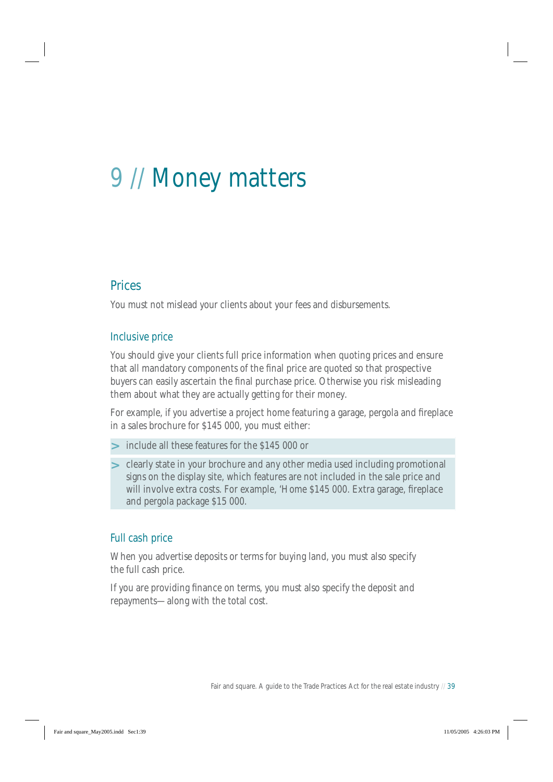## 9 // Money matters

## **Prices**

You must not mislead your clients about your fees and disbursements.

#### Inclusive price

You should give your clients full price information when quoting prices and ensure that all mandatory components of the final price are quoted so that prospective buyers can easily ascertain the final purchase price. Otherwise you risk misleading them about what they are actually getting for their money.

For example, if you advertise a project home featuring a garage, pergola and fireplace in a sales brochure for \$145 000, you must either:

- **>** include all these features for the \$145 000 or
- **>** clearly state in your brochure and any other media used including promotional signs on the display site, which features are not included in the sale price and will involve extra costs. For example, 'Home \$145 000. Extra garage, fireplace and pergola package \$15 000.

### Full cash price

When you advertise deposits or terms for buying land, you must also specify the full cash price.

If you are providing finance on terms, you must also specify the deposit and repayments—along with the total cost.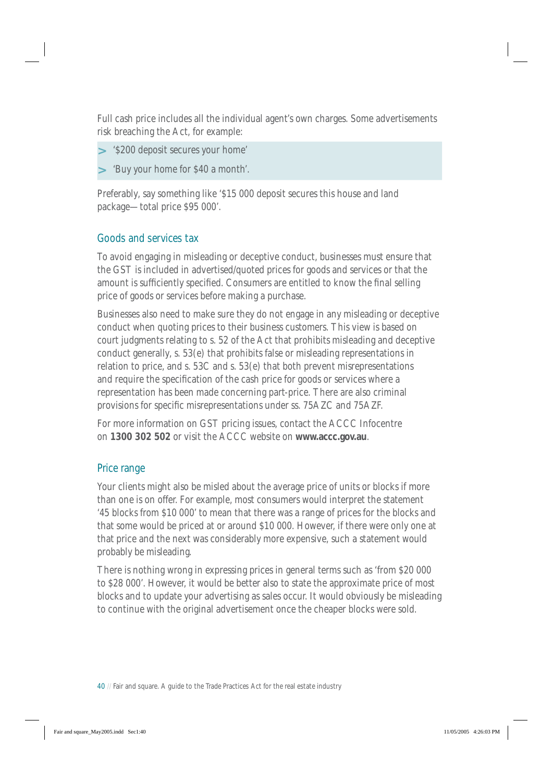Full cash price includes all the individual agent's own charges. Some advertisements risk breaching the Act, for example:

- **>** '\$200 deposit secures your home'
- **>** 'Buy your home for \$40 a month'.

Preferably, say something like '\$15 000 deposit secures this house and land package—total price \$95 000'.

#### Goods and services tax

To avoid engaging in misleading or deceptive conduct, businesses must ensure that the GST is included in advertised/quoted prices for goods and services or that the amount is sufficiently specified. Consumers are entitled to know the final selling price of goods or services before making a purchase.

Businesses also need to make sure they do not engage in any misleading or deceptive conduct when quoting prices to their business customers. This view is based on court judgments relating to s. 52 of the Act that prohibits misleading and deceptive conduct generally, s. 53(e) that prohibits false or misleading representations in relation to price, and s. 53C and s. 53(e) that both prevent misrepresentations and require the specification of the cash price for goods or services where a representation has been made concerning part-price. There are also criminal provisions for specific misrepresentations under ss. 75AZC and 75AZF.

For more information on GST pricing issues, contact the ACCC Infocentre on **1300 302 502** or visit the ACCC website on **www.accc.gov.au**.

### Price range

Your clients might also be misled about the average price of units or blocks if more than one is on offer. For example, most consumers would interpret the statement '45 blocks from \$10 000' to mean that there was a range of prices for the blocks and that some would be priced at or around \$10 000. However, if there were only one at that price and the next was considerably more expensive, such a statement would probably be misleading.

There is nothing wrong in expressing prices in general terms such as 'from \$20 000 to \$28 000'. However, it would be better also to state the approximate price of most blocks and to update your advertising as sales occur. It would obviously be misleading to continue with the original advertisement once the cheaper blocks were sold.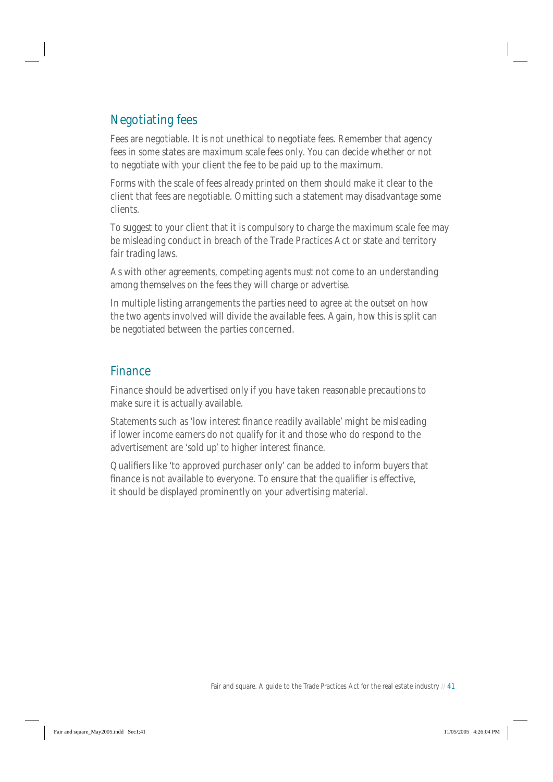## Negotiating fees

Fees are negotiable. It is not unethical to negotiate fees. Remember that agency fees in some states are maximum scale fees only. You can decide whether or not to negotiate with your client the fee to be paid up to the maximum.

Forms with the scale of fees already printed on them should make it clear to the client that fees are negotiable. Omitting such a statement may disadvantage some clients.

To suggest to your client that it is compulsory to charge the maximum scale fee may be misleading conduct in breach of the Trade Practices Act or state and territory fair trading laws.

As with other agreements, competing agents must not come to an understanding among themselves on the fees they will charge or advertise.

In multiple listing arrangements the parties need to agree at the outset on how the two agents involved will divide the available fees. Again, how this is split can be negotiated between the parties concerned.

## **Finance**

Finance should be advertised only if you have taken reasonable precautions to make sure it is actually available.

Statements such as 'low interest finance readily available' might be misleading if lower income earners do not qualify for it and those who do respond to the advertisement are 'sold up' to higher interest finance.

Qualifiers like 'to approved purchaser only' can be added to inform buyers that finance is not available to everyone. To ensure that the qualifier is effective, it should be displayed prominently on your advertising material.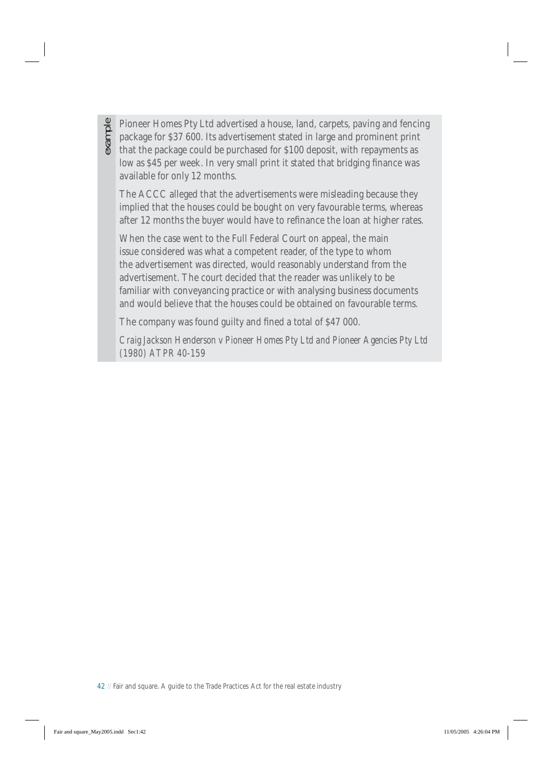package for \$37 600. Its advertisement stated in large and prominent print that the package could be purchased for \$100 deposit, with repayments as low as \$45 per week. In very small print it stated that bridging finance was available for only 12 months.

The ACCC alleged that the advertisements were misleading because they implied that the houses could be bought on very favourable terms, whereas after 12 months the buyer would have to refinance the loan at higher rates.

42 *Calcer Homes Pty Ltd absentised a house, land, carpets, paving and fencing that the package for s37 600. Its advertisement stated in large and prominent print to the TRACCC allege could be pruchased for \$100 deposit,* When the case went to the Full Federal Court on appeal, the main issue considered was what a competent reader, of the type to whom the advertisement was directed, would reasonably understand from the advertisement. The court decided that the reader was unlikely to be familiar with conveyancing practice or with analysing business documents and would believe that the houses could be obtained on favourable terms.

The company was found guilty and fined a total of \$47 000.

*Craig Jackson Henderson v Pioneer Homes Pty Ltd and Pioneer Agencies Pty Ltd (1980) ATPR 40-159*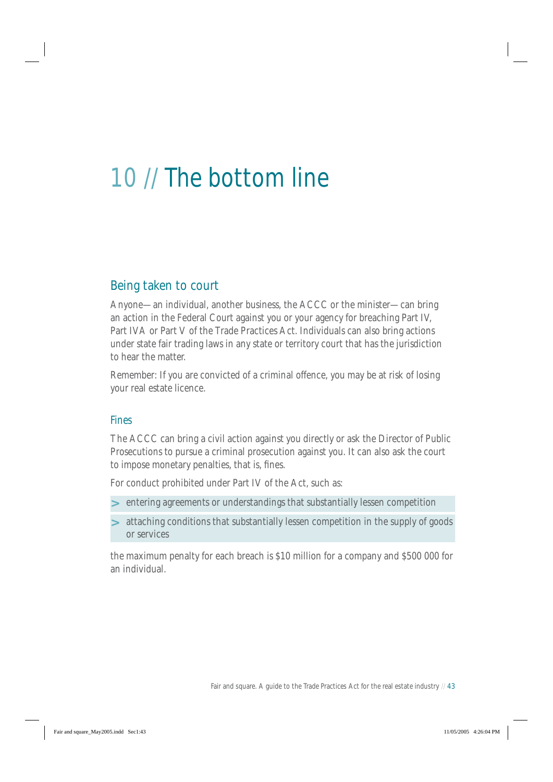## 10 // The bottom line

## Being taken to court

Anyone—an individual, another business, the ACCC or the minister—can bring an action in the Federal Court against you or your agency for breaching Part IV, Part IVA or Part V of the Trade Practices Act. Individuals can also bring actions under state fair trading laws in any state or territory court that has the jurisdiction to hear the matter.

Remember: If you are convicted of a criminal offence, you may be at risk of losing your real estate licence.

#### **Fines**

The ACCC can bring a civil action against you directly or ask the Director of Public Prosecutions to pursue a criminal prosecution against you. It can also ask the court to impose monetary penalties, that is, fines.

For conduct prohibited under Part IV of the Act, such as:

- **>** entering agreements or understandings that substantially lessen competition
- **>** attaching conditions that substantially lessen competition in the supply of goods or services

the maximum penalty for each breach is \$10 million for a company and \$500 000 for an individual.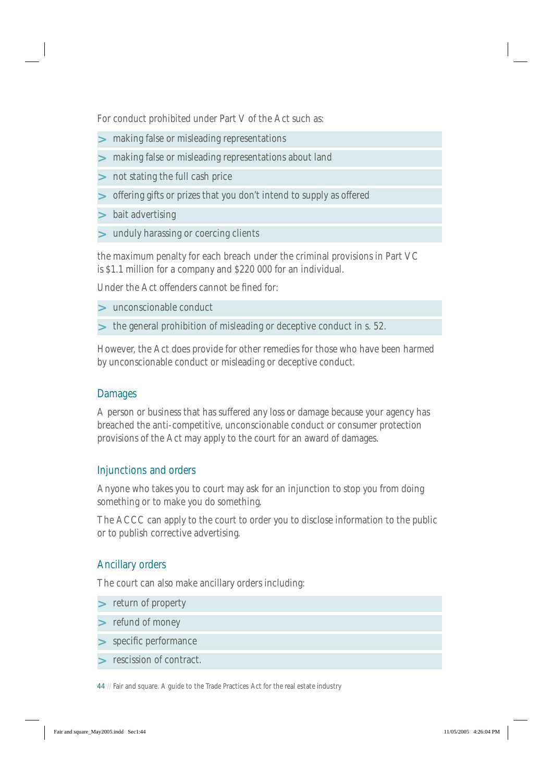For conduct prohibited under Part V of the Act such as:

- **>** making false or misleading representations
- **>** making false or misleading representations about land
- **>** not stating the full cash price
- **>** offering gifts or prizes that you don't intend to supply as offered
- **>** bait advertising
- **>** unduly harassing or coercing clients

the maximum penalty for each breach under the criminal provisions in Part VC is \$1.1 million for a company and \$220 000 for an individual.

Under the Act offenders cannot be fined for:

- **>** unconscionable conduct
- **>** the general prohibition of misleading or deceptive conduct in s. 52.

However, the Act does provide for other remedies for those who have been harmed by unconscionable conduct or misleading or deceptive conduct.

### Damages

A person or business that has suffered any loss or damage because your agency has breached the anti-competitive, unconscionable conduct or consumer protection provisions of the Act may apply to the court for an award of damages.

### Injunctions and orders

Anyone who takes you to court may ask for an injunction to stop you from doing something or to make you do something.

The ACCC can apply to the court to order you to disclose information to the public or to publish corrective advertising.

## Ancillary orders

The court can also make ancillary orders including:

- **>** return of property
- **>** refund of money
- > specific performance
- **>** rescission of contract.

44 // Fair and square. A guide to the Trade Practices Act for the real estate industry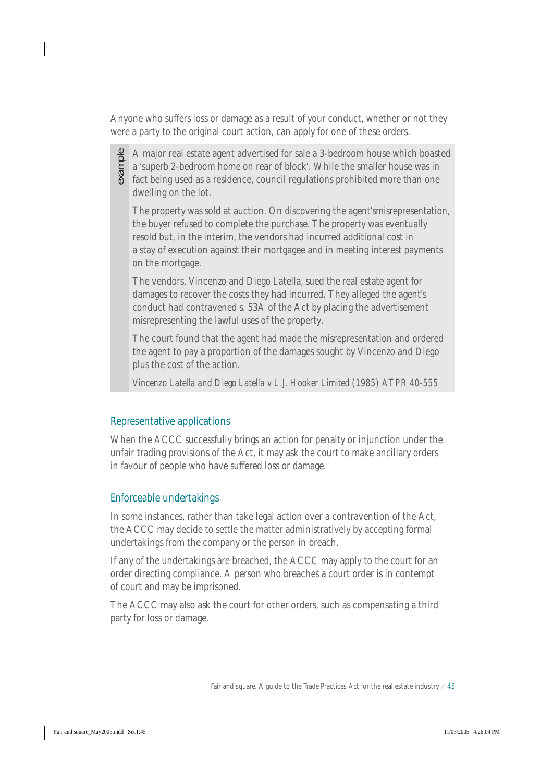Anyone who suffers loss or damage as a result of your conduct, whether or not they were a party to the original court action, can apply for one of these orders.

A major real estate agent advertised for sale a 3-bedroom house which boasted<br>a 'superb 2-bedroom home on rear of block'. While the smaller house was in<br>a fact being used as a residence, council regulations prohibited mor a 'superb 2-bedroom home on rear of block'. While the smaller house was in fact being used as a residence, council regulations prohibited more than one dwelling on the lot.

The property was sold at auction. On discovering the agent'smisrepresentation, the buyer refused to complete the purchase. The property was eventually resold but, in the interim, the vendors had incurred additional cost in a stay of execution against their mortgagee and in meeting interest payments on the mortgage.

The vendors, Vincenzo and Diego Latella, sued the real estate agent for damages to recover the costs they had incurred. They alleged the agent's conduct had contravened s. 53A of the Act by placing the advertisement misrepresenting the lawful uses of the property.

The court found that the agent had made the misrepresentation and ordered the agent to pay a proportion of the damages sought by Vincenzo and Diego plus the cost of the action.

*Vincenzo Latella and Diego Latella v L.J. Hooker Limited (1985) ATPR 40-555*

### Representative applications

When the ACCC successfully brings an action for penalty or injunction under the unfair trading provisions of the Act, it may ask the court to make ancillary orders in favour of people who have suffered loss or damage.

## Enforceable undertakings

In some instances, rather than take legal action over a contravention of the Act, the ACCC may decide to settle the matter administratively by accepting formal undertakings from the company or the person in breach.

If any of the undertakings are breached, the ACCC may apply to the court for an order directing compliance. A person who breaches a court order is in contempt of court and may be imprisoned.

The ACCC may also ask the court for other orders, such as compensating a third party for loss or damage.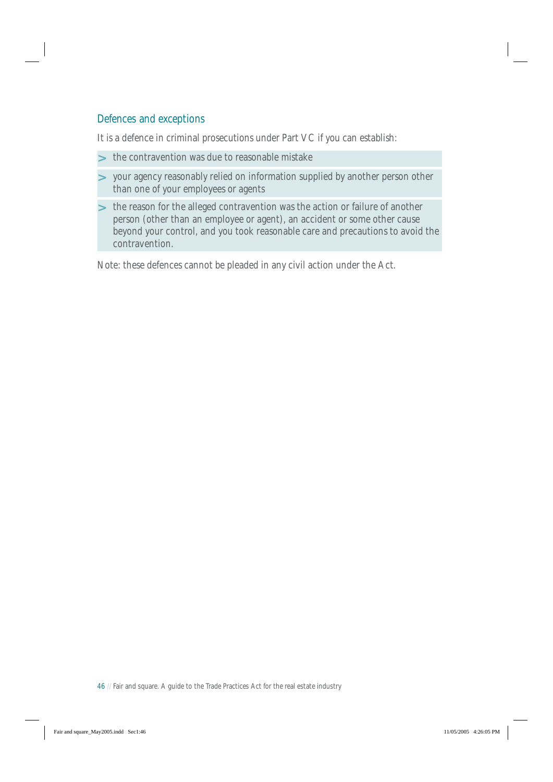### Defences and exceptions

It is a defence in criminal prosecutions under Part VC if you can establish:

- **>** the contravention was due to reasonable mistake
- **>** your agency reasonably relied on information supplied by another person other than one of your employees or agents
- **>** the reason for the alleged contravention was the action or failure of another person (other than an employee or agent), an accident or some other cause beyond your control, and you took reasonable care and precautions to avoid the contravention.

Note: these defences cannot be pleaded in any civil action under the Act.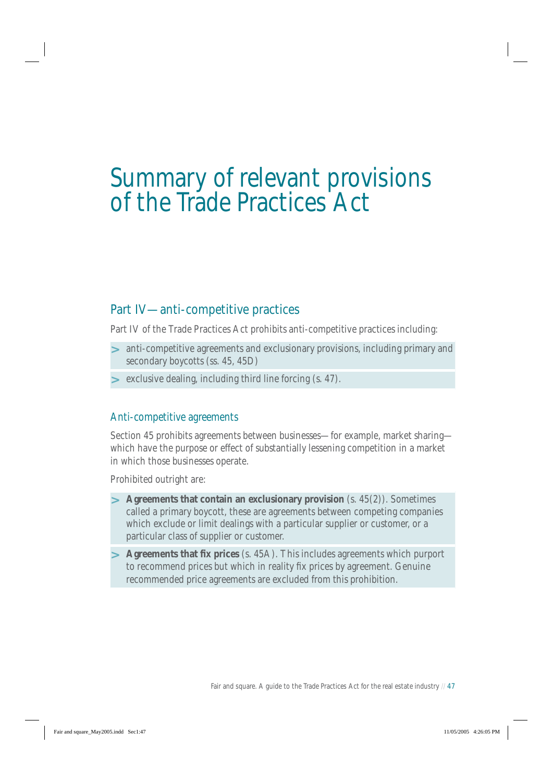## Summary of relevant provisions of the Trade Practices Act

## Part IV—anti-competitive practices

Part IV of the Trade Practices Act prohibits anti-competitive practices including:

- **>** anti-competitive agreements and exclusionary provisions, including primary and secondary boycotts (ss. 45, 45D)
- **>** exclusive dealing, including third line forcing (s. 47).

#### Anti-competitive agreements

Section 45 prohibits agreements between businesses—for example, market sharing which have the purpose or effect of substantially lessening competition in a market in which those businesses operate.

Prohibited outright are:

- **> Agreements that contain an exclusionary provision** (s. 45(2)). Sometimes called a primary boycott, these are agreements between competing companies which exclude or limit dealings with a particular supplier or customer, or a particular class of supplier or customer.
- **> Agreements that fix prices** (s. 45A). This includes agreements which purport to recommend prices but which in reality fix prices by agreement. Genuine recommended price agreements are excluded from this prohibition.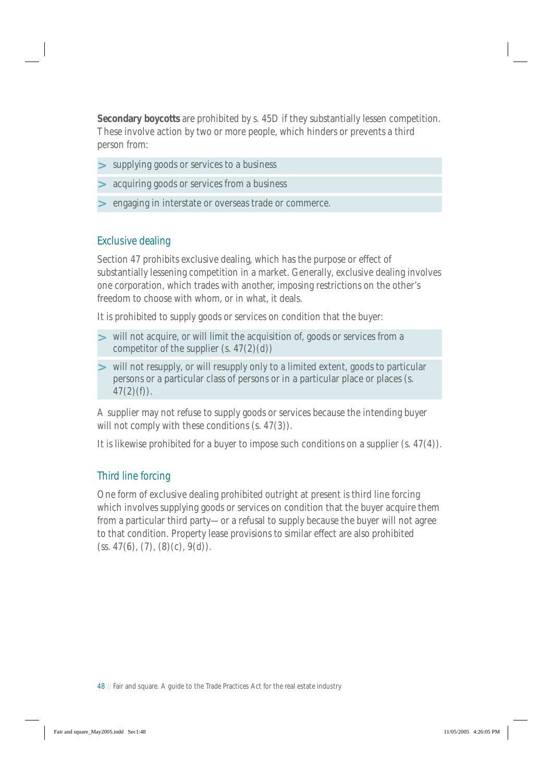**Secondary boycotts** are prohibited by s. 45D if they substantially lessen competition. These involve action by two or more people, which hinders or prevents a third person from:

- **>** supplying goods or services to a business
- **>** acquiring goods or services from a business
- **>** engaging in interstate or overseas trade or commerce.

#### Exclusive dealing

Section 47 prohibits exclusive dealing, which has the purpose or effect of substantially lessening competition in a market. Generally, exclusive dealing involves one corporation, which trades with another, imposing restrictions on the other's freedom to choose with whom, or in what, it deals.

It is prohibited to supply goods or services on condition that the buyer:

- **>** will not acquire, or will limit the acquisition of, goods or services from a competitor of the supplier  $(s. 47(2)(d))$
- **>** will not resupply, or will resupply only to a limited extent, goods to particular persons or a particular class of persons or in a particular place or places (s.  $47(2)(f)$ ).

A supplier may not refuse to supply goods or services because the intending buyer will not comply with these conditions (s. 47(3)).

It is likewise prohibited for a buyer to impose such conditions on a supplier (s. 47(4)).

### Third line forcing

One form of exclusive dealing prohibited outright at present is third line forcing which involves supplying goods or services on condition that the buyer acquire them from a particular third party—or a refusal to supply because the buyer will not agree to that condition. Property lease provisions to similar effect are also prohibited  $(Ss. 47(6), (7), (8)(c), 9(d)).$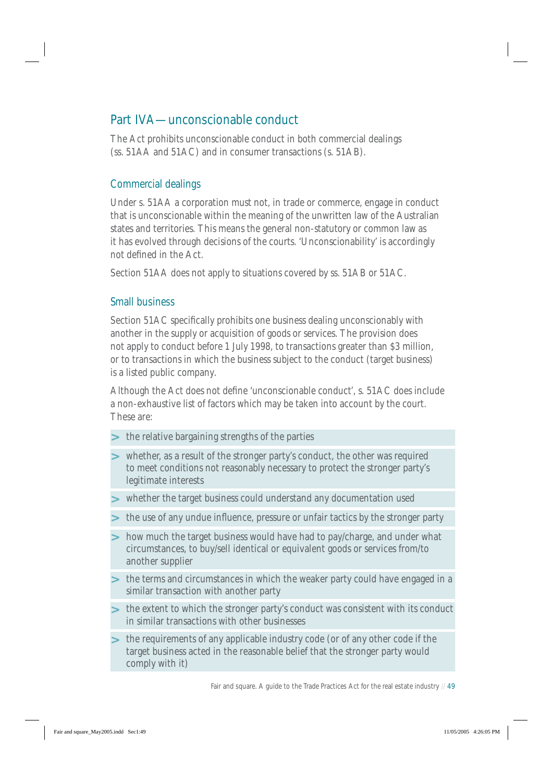## Part IVA—unconscionable conduct

The Act prohibits unconscionable conduct in both commercial dealings (ss. 51AA and 51AC) and in consumer transactions (s. 51AB).

#### Commercial dealings

Under s. 51AA a corporation must not, in trade or commerce, engage in conduct that is unconscionable within the meaning of the unwritten law of the Australian states and territories. This means the general non-statutory or common law as it has evolved through decisions of the courts. 'Unconscionability' is accordingly not defined in the Act.

Section 51AA does not apply to situations covered by ss. 51AB or 51AC.

### Small business

Section 51AC specifically prohibits one business dealing unconscionably with another in the supply or acquisition of goods or services. The provision does not apply to conduct before 1 July 1998, to transactions greater than \$3 million, or to transactions in which the business subject to the conduct (target business) is a listed public company.

Although the Act does not define 'unconscionable conduct', s. 51AC does include a non-exhaustive list of factors which may be taken into account by the court. These are:

- **>** the relative bargaining strengths of the parties
- **>** whether, as a result of the stronger party's conduct, the other was required to meet conditions not reasonably necessary to protect the stronger party's legitimate interests
- **>** whether the target business could understand any documentation used
- $>$  the use of any undue influence, pressure or unfair tactics by the stronger party
- **>** how much the target business would have had to pay/charge, and under what circumstances, to buy/sell identical or equivalent goods or services from/to another supplier
- **>** the terms and circumstances in which the weaker party could have engaged in a similar transaction with another party
- **>** the extent to which the stronger party's conduct was consistent with its conduct in similar transactions with other businesses
- **>** the requirements of any applicable industry code (or of any other code if the target business acted in the reasonable belief that the stronger party would comply with it)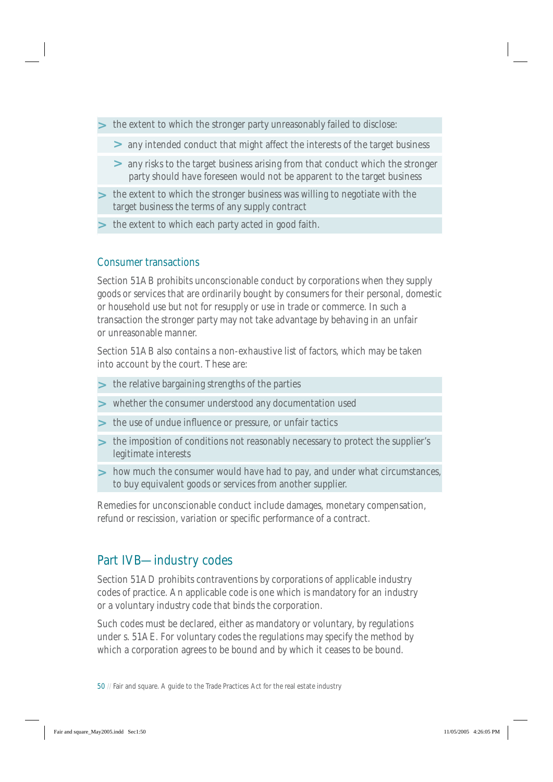- **>** the extent to which the stronger party unreasonably failed to disclose:
	- **>** any intended conduct that might affect the interests of the target business
	- **>** any risks to the target business arising from that conduct which the stronger party should have foreseen would not be apparent to the target business
- **>** the extent to which the stronger business was willing to negotiate with the target business the terms of any supply contract
- **>** the extent to which each party acted in good faith.

#### Consumer transactions

Section 51AB prohibits unconscionable conduct by corporations when they supply goods or services that are ordinarily bought by consumers for their personal, domestic or household use but not for resupply or use in trade or commerce. In such a transaction the stronger party may not take advantage by behaving in an unfair or unreasonable manner.

Section 51AB also contains a non-exhaustive list of factors, which may be taken into account by the court. These are:

- **>** the relative bargaining strengths of the parties
- **>** whether the consumer understood any documentation used
- $>$  the use of undue influence or pressure, or unfair tactics
- **>** the imposition of conditions not reasonably necessary to protect the supplier's legitimate interests
- **>** how much the consumer would have had to pay, and under what circumstances, to buy equivalent goods or services from another supplier.

Remedies for unconscionable conduct include damages, monetary compensation, refund or rescission, variation or specific performance of a contract.

## Part IVB—industry codes

Section 51AD prohibits contraventions by corporations of applicable industry codes of practice. An applicable code is one which is mandatory for an industry or a voluntary industry code that binds the corporation.

Such codes must be declared, either as mandatory or voluntary, by regulations under s. 51AE. For voluntary codes the regulations may specify the method by which a corporation agrees to be bound and by which it ceases to be bound.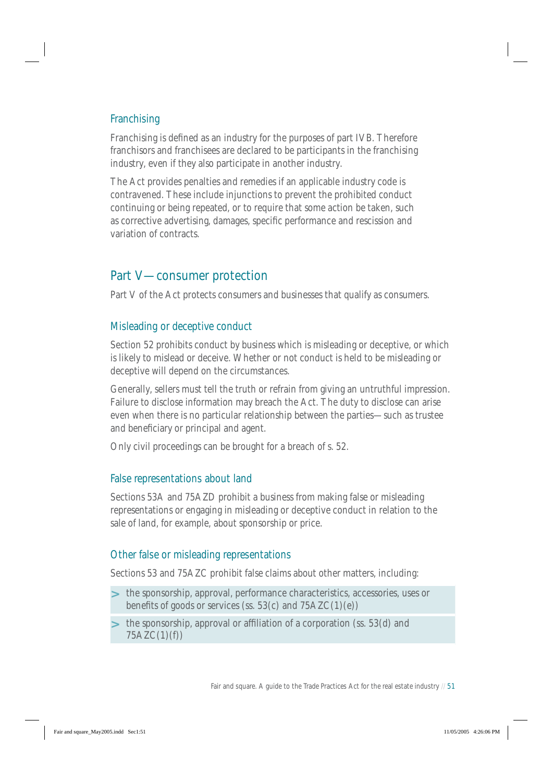### **Franchising**

Franchising is defined as an industry for the purposes of part IVB. Therefore franchisors and franchisees are declared to be participants in the franchising industry, even if they also participate in another industry.

The Act provides penalties and remedies if an applicable industry code is contravened. These include injunctions to prevent the prohibited conduct continuing or being repeated, or to require that some action be taken, such as corrective advertising, damages, specific performance and rescission and variation of contracts.

## Part V—consumer protection

Part V of the Act protects consumers and businesses that qualify as consumers.

### Misleading or deceptive conduct

Section 52 prohibits conduct by business which is misleading or deceptive, or which is likely to mislead or deceive. Whether or not conduct is held to be misleading or deceptive will depend on the circumstances.

Generally, sellers must tell the truth or refrain from giving an untruthful impression. Failure to disclose information may breach the Act. The duty to disclose can arise even when there is no particular relationship between the parties—such as trustee and beneficiary or principal and agent.

Only civil proceedings can be brought for a breach of s. 52.

### False representations about land

Sections 53A and 75AZD prohibit a business from making false or misleading representations or engaging in misleading or deceptive conduct in relation to the sale of land, for example, about sponsorship or price.

### Other false or misleading representations

Sections 53 and 75AZC prohibit false claims about other matters, including:

- **>** the sponsorship, approval, performance characteristics, accessories, uses or benefits of goods or services (ss.  $53(c)$  and  $75AZC(1)(e)$ )
- **>** the sponsorship, approval or affiliation of a corporation (ss. 53(d) and 75AZC(1)(f))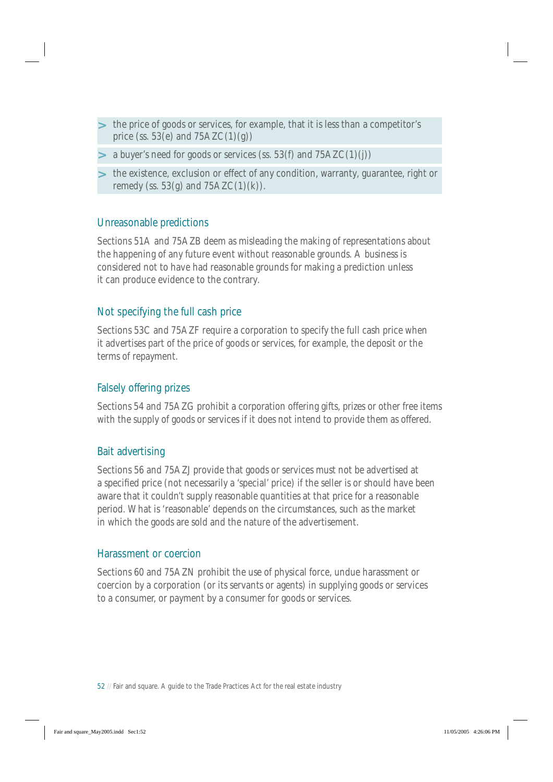- **>** the price of goods or services, for example, that it is less than a competitor's price (ss. 53(e) and 75AZC(1)(g))
- **>** a buyer's need for goods or services (ss. 53(f) and 75AZC(1)(j))
- **>** the existence, exclusion or effect of any condition, warranty, guarantee, right or remedy (ss.  $53(q)$  and  $75AZC(1)(k)$ ).

#### Unreasonable predictions

Sections 51A and 75AZB deem as misleading the making of representations about the happening of any future event without reasonable grounds. A business is considered not to have had reasonable grounds for making a prediction unless it can produce evidence to the contrary.

### Not specifying the full cash price

Sections 53C and 75AZF require a corporation to specify the full cash price when it advertises part of the price of goods or services, for example, the deposit or the terms of repayment.

#### Falsely offering prizes

Sections 54 and 75AZG prohibit a corporation offering gifts, prizes or other free items with the supply of goods or services if it does not intend to provide them as offered.

#### Bait advertising

Sections 56 and 75AZJ provide that goods or services must not be advertised at a specified price (not necessarily a 'special' price) if the seller is or should have been aware that it couldn't supply reasonable quantities at that price for a reasonable period. What is 'reasonable' depends on the circumstances, such as the market in which the goods are sold and the nature of the advertisement.

#### Harassment or coercion

Sections 60 and 75AZN prohibit the use of physical force, undue harassment or coercion by a corporation (or its servants or agents) in supplying goods or services to a consumer, or payment by a consumer for goods or services.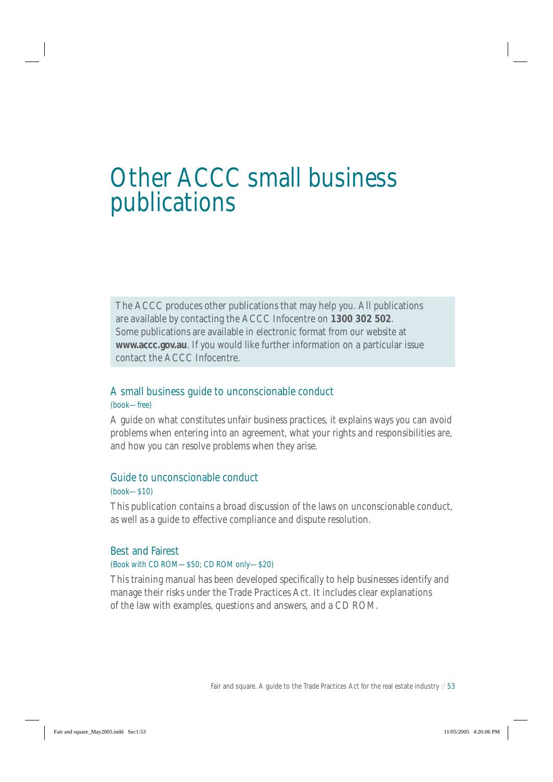## Other ACCC small business publications

The ACCC produces other publications that may help you. All publications are available by contacting the ACCC Infocentre on **1300 302 502**. Some publications are available in electronic format from our website at **www.accc.gov.au**. If you would like further information on a particular issue contact the ACCC Infocentre.

#### A small business guide to unconscionable conduct (book—free)

A guide on what constitutes unfair business practices, it explains ways you can avoid problems when entering into an agreement, what your rights and responsibilities are, and how you can resolve problems when they arise.

## Guide to unconscionable conduct

#### (book—\$10)

This publication contains a broad discussion of the laws on unconscionable conduct, as well as a guide to effective compliance and dispute resolution.

#### Best and Fairest

#### (Book with CD ROM—\$50; CD ROM only—\$20)

This training manual has been developed specifically to help businesses identify and manage their risks under the Trade Practices Act. It includes clear explanations of the law with examples, questions and answers, and a CD ROM.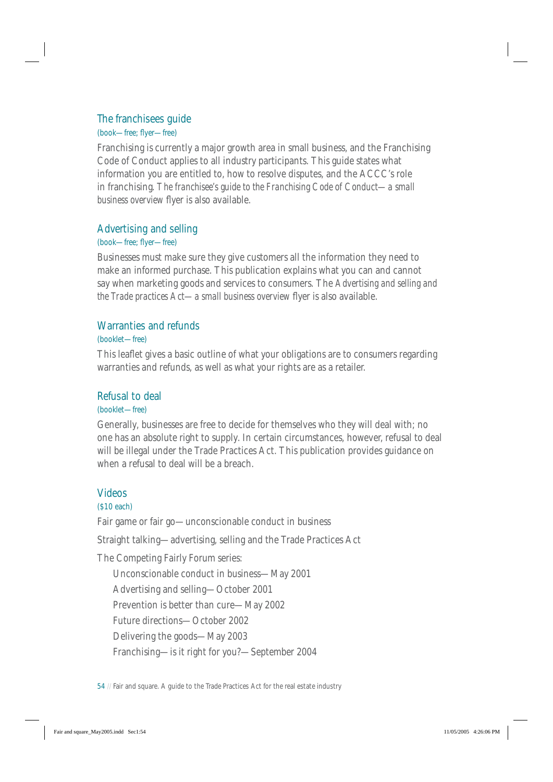#### The franchisees guide

#### (book—free; flyer—free)

Franchising is currently a major growth area in small business, and the Franchising Code of Conduct applies to all industry participants. This guide states what information you are entitled to, how to resolve disputes, and the ACCC's role in franchising. *The franchisee's guide to the Franchising Code of Conduct—a small*  business overview flyer is also available.

#### Advertising and selling

#### (book—free; flyer—free)

Businesses must make sure they give customers all the information they need to make an informed purchase. This publication explains what you can and cannot say when marketing goods and services to consumers. The *Advertising and selling and the Trade practices Act—a small business overview flyer is also available.* 

### Warranties and refunds

#### (booklet—free)

This leaflet gives a basic outline of what your obligations are to consumers regarding warranties and refunds, as well as what your rights are as a retailer.

#### Refusal to deal

#### (booklet—free)

Generally, businesses are free to decide for themselves who they will deal with; no one has an absolute right to supply. In certain circumstances, however, refusal to deal will be illegal under the Trade Practices Act. This publication provides guidance on when a refusal to deal will be a breach.

### Videos

#### (\$10 each)

Fair game or fair go—unconscionable conduct in business

Straight talking—advertising, selling and the Trade Practices Act

The Competing Fairly Forum series:

 Unconscionable conduct in business—May 2001 Advertising and selling—October 2001 Prevention is better than cure—May 2002 Future directions—October 2002 Delivering the goods—May 2003 Franchising—is it right for you?—September 2004